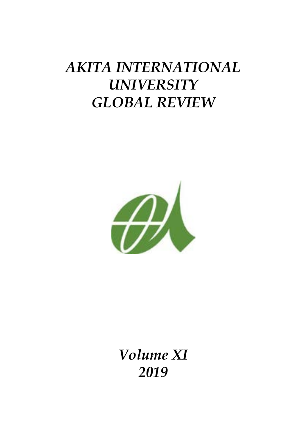# *AKITA INTERNATIONAL UNIVERSITY GLOBAL REVIEW*



*Volume XI 2019*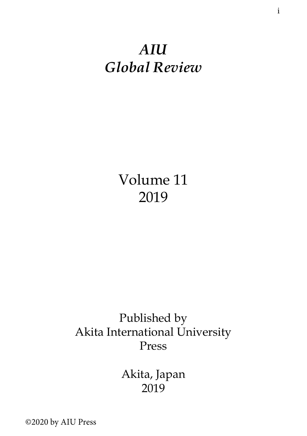# *AIU Global Review*

Volume 11 2019

# Published by Akita International University Press

Akita, Japan 2019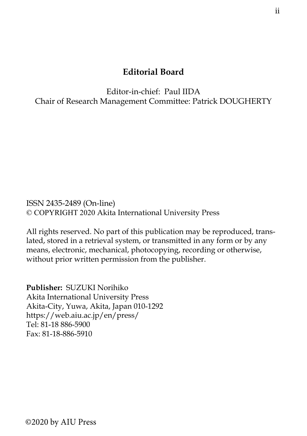#### **Editorial Board**

Editor-in-chief: Paul IIDA Chair of Research Management Committee: Patrick DOUGHERTY

ISSN 2435-2489 (On-line) © COPYRIGHT 2020 Akita International University Press

All rights reserved. No part of this publication may be reproduced, translated, stored in a retrieval system, or transmitted in any form or by any means, electronic, mechanical, photocopying, recording or otherwise, without prior written permission from the publisher.

**Publisher:** SUZUKI Norihiko Akita International University Press Akita-City, Yuwa, Akita, Japan 010-1292 https://web.aiu.ac.jp/en/press/ Tel: 81-18 886-5900 Fax: 81-18-886-5910

©2020 by AIU Press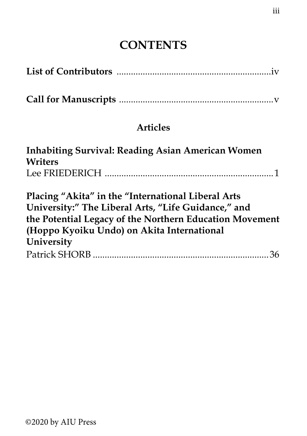# **CONTENTS**

## **Articles**

| Inhabiting Survival: Reading Asian American Women<br>Writers |  |
|--------------------------------------------------------------|--|
|                                                              |  |
| Placing "Akita" in the "International Liberal Arts           |  |
| University:" The Liberal Arts, "Life Guidance," and          |  |
| the Potential Legacy of the Northern Education Movement      |  |
| (Hoppo Kyoiku Undo) on Akita International                   |  |
| University                                                   |  |
|                                                              |  |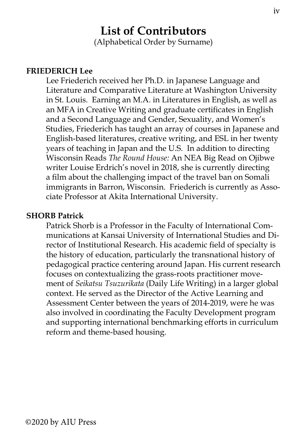### **List of Contributors** (Alphabetical Order by Surname)

#### **FRIEDERICH Lee**

Lee Friederich received her Ph.D. in Japanese Language and Literature and Comparative Literature at Washington University in St. Louis. Earning an M.A. in Literatures in English, as well as an MFA in Creative Writing and graduate certificates in English and a Second Language and Gender, Sexuality, and Women's Studies, Friederich has taught an array of courses in Japanese and English-based literatures, creative writing, and ESL in her twenty years of teaching in Japan and the U.S. In addition to directing Wisconsin Reads *The Round House:* An NEA Big Read on Ojibwe writer Louise Erdrich's novel in 2018, she is currently directing a film about the challenging impact of the travel ban on Somali immigrants in Barron, Wisconsin. Friederich is currently as Associate Professor at Akita International University.

#### **SHORB Patrick**

Patrick Shorb is a Professor in the Faculty of International Communications at Kansai University of International Studies and Director of Institutional Research. His academic field of specialty is the history of education, particularly the transnational history of pedagogical practice centering around Japan. His current research focuses on contextualizing the grass-roots practitioner movement of *Seikatsu Tsuzurikata* (Daily Life Writing) in a larger global context. He served as the Director of the Active Learning and Assessment Center between the years of 2014-2019, were he was also involved in coordinating the Faculty Development program and supporting international benchmarking efforts in curriculum reform and theme-based housing.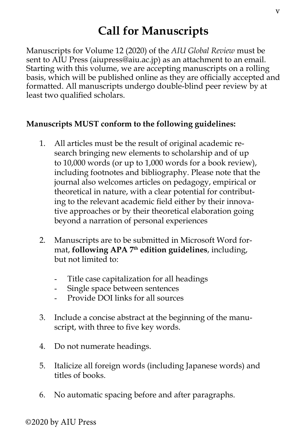# **Call for Manuscripts**

Manuscripts for Volume 12 (2020) of the *AIU Global Review* must be sent to AIU Press (aiupress@aiu.ac.jp) as an attachment to an email. Starting with this volume, we are accepting manuscripts on a rolling basis, which will be published online as they are officially accepted and formatted. All manuscripts undergo double-blind peer review by at least two qualified scholars.

### **Manuscripts MUST conform to the following guidelines:**

- 1. All articles must be the result of original academic research bringing new elements to scholarship and of up to 10,000 words (or up to 1,000 words for a book review), including footnotes and bibliography. Please note that the journal also welcomes articles on pedagogy, empirical or theoretical in nature, with a clear potential for contributing to the relevant academic field either by their innovative approaches or by their theoretical elaboration going beyond a narration of personal experiences
- 2. Manuscripts are to be submitted in Microsoft Word format, **following APA 7th edition guidelines**, including, but not limited to:
	- Title case capitalization for all headings
	- Single space between sentences
	- Provide DOI links for all sources
- 3. Include a concise abstract at the beginning of the manuscript, with three to five key words.
- 4. Do not numerate headings.
- 5. Italicize all foreign words (including Japanese words) and titles of books.
- 6. No automatic spacing before and after paragraphs.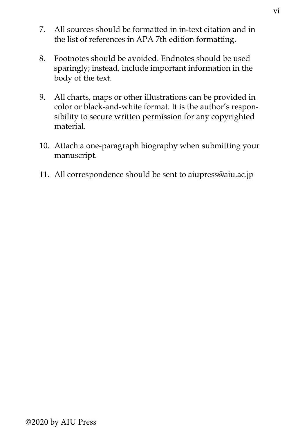- 7. All sources should be formatted in in-text citation and in the list of references in APA 7th edition formatting.
- 8. Footnotes should be avoided. Endnotes should be used sparingly; instead, include important information in the body of the text.
- 9. All charts, maps or other illustrations can be provided in color or black-and-white format. It is the author's responsibility to secure written permission for any copyrighted material.
- 10. Attach a one-paragraph biography when submitting your manuscript.
- 11. All correspondence should be sent to aiupress@aiu.ac.jp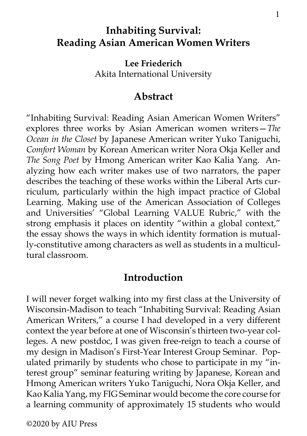### **Inhabiting Survival: Reading Asian American Women Writers**

**Lee Friederich** Akita International University

### **Abstract**

"Inhabiting Survival: Reading Asian American Women Writers" explores three works by Asian American women writers—*The Ocean in the Closet* by Japanese American writer Yuko Taniguchi, *Comfort Woman* by Korean American writer Nora Okja Keller and *The Song Poet* by Hmong American writer Kao Kalia Yang. Analyzing how each writer makes use of two narrators, the paper describes the teaching of these works within the Liberal Arts curriculum, particularly within the high impact practice of Global Learning. Making use of the American Association of Colleges and Universities' "Global Learning VALUE Rubric," with the strong emphasis it places on identity "within a global context," the essay shows the ways in which identity formation is mutually-constitutive among characters as well as students in a multicultural classroom.

### **Introduction**

I will never forget walking into my first class at the University of Wisconsin-Madison to teach "Inhabiting Survival: Reading Asian American Writers," a course I had developed in a very different context the year before at one of Wisconsin's thirteen two-year colleges. A new postdoc, I was given free-reign to teach a course of my design in Madison's First-Year Interest Group Seminar. Populated primarily by students who chose to participate in my "interest group" seminar featuring writing by Japanese, Korean and Hmong American writers Yuko Taniguchi, Nora Okja Keller, and Kao Kalia Yang, my FIG Seminar would become the core course for a learning community of approximately 15 students who would

©2020 by AIU Press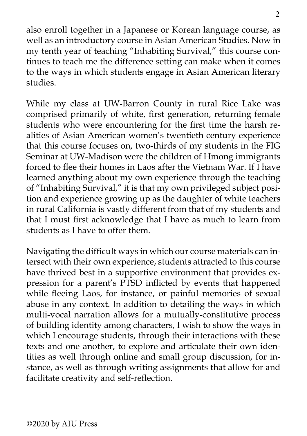also enroll together in a Japanese or Korean language course, as well as an introductory course in Asian American Studies. Now in my tenth year of teaching "Inhabiting Survival," this course continues to teach me the difference setting can make when it comes to the ways in which students engage in Asian American literary studies.

While my class at UW-Barron County in rural Rice Lake was comprised primarily of white, first generation, returning female students who were encountering for the first time the harsh realities of Asian American women's twentieth century experience that this course focuses on, two-thirds of my students in the FIG Seminar at UW-Madison were the children of Hmong immigrants forced to flee their homes in Laos after the Vietnam War. If I have learned anything about my own experience through the teaching of "Inhabiting Survival," it is that my own privileged subject position and experience growing up as the daughter of white teachers in rural California is vastly different from that of my students and that I must first acknowledge that I have as much to learn from students as I have to offer them.

Navigating the difficult ways in which our course materials can intersect with their own experience, students attracted to this course have thrived best in a supportive environment that provides expression for a parent's PTSD inflicted by events that happened while fleeing Laos, for instance, or painful memories of sexual abuse in any context. In addition to detailing the ways in which multi-vocal narration allows for a mutually-constitutive process of building identity among characters, I wish to show the ways in which I encourage students, through their interactions with these texts and one another, to explore and articulate their own identities as well through online and small group discussion, for instance, as well as through writing assignments that allow for and facilitate creativity and self-reflection.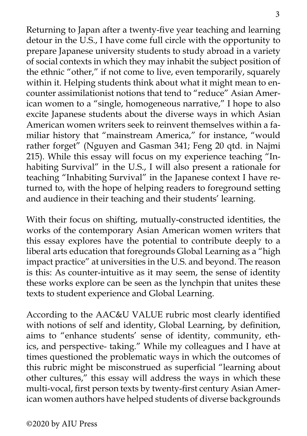Returning to Japan after a twenty-five year teaching and learning detour in the U.S., I have come full circle with the opportunity to prepare Japanese university students to study abroad in a variety of social contexts in which they may inhabit the subject position of the ethnic "other," if not come to live, even temporarily, squarely within it. Helping students think about what it might mean to encounter assimilationist notions that tend to "reduce" Asian American women to a "single, homogeneous narrative," I hope to also excite Japanese students about the diverse ways in which Asian American women writers seek to reinvent themselves within a familiar history that "mainstream America," for instance, "would rather forget" (Nguyen and Gasman 341; Feng 20 qtd. in Najmi 215). While this essay will focus on my experience teaching "Inhabiting Survival" in the U.S., I will also present a rationale for teaching "Inhabiting Survival" in the Japanese context I have returned to, with the hope of helping readers to foreground setting and audience in their teaching and their students' learning.

With their focus on shifting, mutually-constructed identities, the works of the contemporary Asian American women writers that this essay explores have the potential to contribute deeply to a liberal arts education that foregrounds Global Learning as a "high impact practice" at universities in the U.S. and beyond. The reason is this: As counter-intuitive as it may seem, the sense of identity these works explore can be seen as the lynchpin that unites these texts to student experience and Global Learning.

According to the AAC&U VALUE rubric most clearly identified with notions of self and identity, Global Learning, by definition, aims to "enhance students' sense of identity, community, ethics, and perspective- taking." While my colleagues and I have at times questioned the problematic ways in which the outcomes of this rubric might be misconstrued as superficial "learning about other cultures," this essay will address the ways in which these multi-vocal, first person texts by twenty-first century Asian American women authors have helped students of diverse backgrounds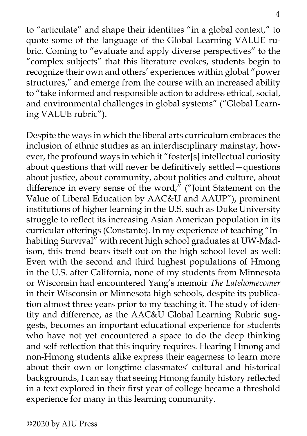to "articulate" and shape their identities "in a global context," to quote some of the language of the Global Learning VALUE rubric. Coming to "evaluate and apply diverse perspectives" to the "complex subjects" that this literature evokes, students begin to recognize their own and others' experiences within global "power structures," and emerge from the course with an increased ability to "take informed and responsible action to address ethical, social, and environmental challenges in global systems" ("Global Learning VALUE rubric").

Despite the ways in which the liberal arts curriculum embraces the inclusion of ethnic studies as an interdisciplinary mainstay, however, the profound ways in which it "foster[s] intellectual curiosity about questions that will never be definitively settled—questions about justice, about community, about politics and culture, about difference in every sense of the word," ("Joint Statement on the Value of Liberal Education by AAC&U and AAUP"), prominent institutions of higher learning in the U.S. such as Duke University struggle to reflect its increasing Asian American population in its curricular offerings (Constante). In my experience of teaching "Inhabiting Survival" with recent high school graduates at UW-Madison, this trend bears itself out on the high school level as well: Even with the second and third highest populations of Hmong in the U.S. after California, none of my students from Minnesota or Wisconsin had encountered Yang's memoir *The Latehomecomer*  in their Wisconsin or Minnesota high schools, despite its publication almost three years prior to my teaching it. The study of identity and difference, as the AAC&U Global Learning Rubric suggests, becomes an important educational experience for students who have not yet encountered a space to do the deep thinking and self-reflection that this inquiry requires. Hearing Hmong and non-Hmong students alike express their eagerness to learn more about their own or longtime classmates' cultural and historical backgrounds, I can say that seeing Hmong family history reflected in a text explored in their first year of college became a threshold experience for many in this learning community.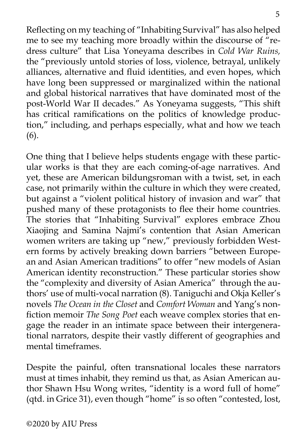Reflecting on my teaching of "Inhabiting Survival" has also helped me to see my teaching more broadly within the discourse of "redress culture" that Lisa Yoneyama describes in *Cold War Ruins,*  the "previously untold stories of loss, violence, betrayal, unlikely alliances, alternative and fluid identities, and even hopes, which have long been suppressed or marginalized within the national and global historical narratives that have dominated most of the post-World War II decades." As Yoneyama suggests, "This shift has critical ramifications on the politics of knowledge production," including, and perhaps especially, what and how we teach (6).

One thing that I believe helps students engage with these particular works is that they are each coming-of-age narratives. And yet, these are American bildungsroman with a twist, set, in each case, not primarily within the culture in which they were created, but against a "violent political history of invasion and war" that pushed many of these protagonists to flee their home countries. The stories that "Inhabiting Survival" explores embrace Zhou Xiaojing and Samina Najmi's contention that Asian American women writers are taking up "new," previously forbidden Western forms by actively breaking down barriers "between European and Asian American traditions" to offer "new models of Asian American identity reconstruction." These particular stories show the "complexity and diversity of Asian America" through the authors' use of multi-vocal narration (8). Taniguchi and Okja Keller's novels *The Ocean in the Closet* and *Comfort Woman* and Yang's nonfiction memoir *The Song Poet* each weave complex stories that engage the reader in an intimate space between their intergenerational narrators, despite their vastly different of geographies and mental timeframes.

Despite the painful, often transnational locales these narrators must at times inhabit, they remind us that, as Asian American author Shawn Hsu Wong writes, "identity is a word full of home" (qtd. in Grice 31), even though "home" is so often "contested, lost,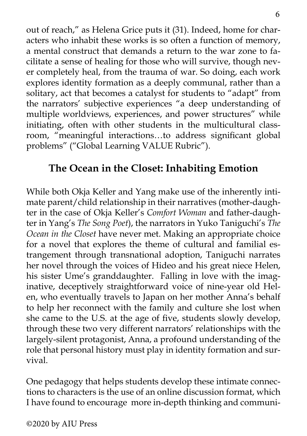out of reach," as Helena Grice puts it (31). Indeed, home for characters who inhabit these works is so often a function of memory, a mental construct that demands a return to the war zone to facilitate a sense of healing for those who will survive, though never completely heal, from the trauma of war. So doing, each work explores identity formation as a deeply communal, rather than a solitary, act that becomes a catalyst for students to "adapt" from the narrators' subjective experiences "a deep understanding of multiple worldviews, experiences, and power structures" while initiating, often with other students in the multicultural classroom, "meaningful interactions…to address significant global problems" ("Global Learning VALUE Rubric").

## **The Ocean in the Closet: Inhabiting Emotion**

While both Okja Keller and Yang make use of the inherently intimate parent/child relationship in their narratives (mother-daughter in the case of Okja Keller's *Comfort Woman* and father-daughter in Yang's *The Song Poet*), the narrators in Yuko Taniguchi's *The Ocean in the Closet* have never met. Making an appropriate choice for a novel that explores the theme of cultural and familial estrangement through transnational adoption, Taniguchi narrates her novel through the voices of Hideo and his great niece Helen, his sister Ume's granddaughter. Falling in love with the imaginative, deceptively straightforward voice of nine-year old Helen, who eventually travels to Japan on her mother Anna's behalf to help her reconnect with the family and culture she lost when she came to the U.S. at the age of five, students slowly develop, through these two very different narrators' relationships with the largely-silent protagonist, Anna, a profound understanding of the role that personal history must play in identity formation and survival.

One pedagogy that helps students develop these intimate connections to characters is the use of an online discussion format, which I have found to encourage more in-depth thinking and communi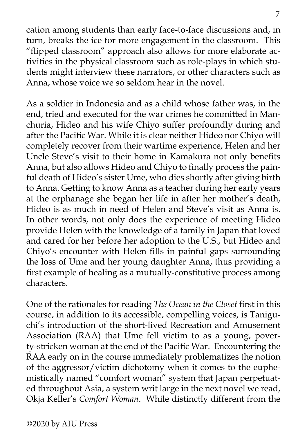cation among students than early face-to-face discussions and, in turn, breaks the ice for more engagement in the classroom. This "flipped classroom" approach also allows for more elaborate activities in the physical classroom such as role-plays in which students might interview these narrators, or other characters such as Anna, whose voice we so seldom hear in the novel.

As a soldier in Indonesia and as a child whose father was, in the end, tried and executed for the war crimes he committed in Manchuria, Hideo and his wife Chiyo suffer profoundly during and after the Pacific War. While it is clear neither Hideo nor Chiyo will completely recover from their wartime experience, Helen and her Uncle Steve's visit to their home in Kamakura not only benefits Anna, but also allows Hideo and Chiyo to finally process the painful death of Hideo's sister Ume, who dies shortly after giving birth to Anna. Getting to know Anna as a teacher during her early years at the orphanage she began her life in after her mother's death, Hideo is as much in need of Helen and Steve's visit as Anna is. In other words, not only does the experience of meeting Hideo provide Helen with the knowledge of a family in Japan that loved and cared for her before her adoption to the U.S., but Hideo and Chiyo's encounter with Helen fills in painful gaps surrounding the loss of Ume and her young daughter Anna, thus providing a first example of healing as a mutually-constitutive process among characters.

One of the rationales for reading *The Ocean in the Closet* first in this course, in addition to its accessible, compelling voices, is Taniguchi's introduction of the short-lived Recreation and Amusement Association (RAA) that Ume fell victim to as a young, poverty-stricken woman at the end of the Pacific War. Encountering the RAA early on in the course immediately problematizes the notion of the aggressor/victim dichotomy when it comes to the euphemistically named "comfort woman" system that Japan perpetuated throughout Asia, a system writ large in the next novel we read, Okja Keller's *Comfort Woman*. While distinctly different from the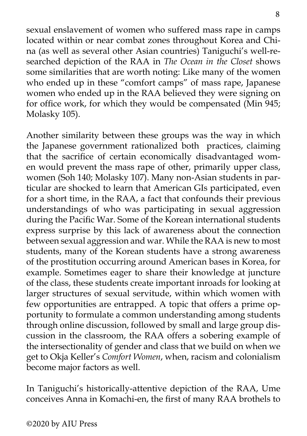sexual enslavement of women who suffered mass rape in camps located within or near combat zones throughout Korea and China (as well as several other Asian countries) Taniguchi's well-researched depiction of the RAA in *The Ocean in the Closet* shows some similarities that are worth noting: Like many of the women who ended up in these "comfort camps" of mass rape, Japanese women who ended up in the RAA believed they were signing on for office work, for which they would be compensated (Min 945; Molasky 105).

Another similarity between these groups was the way in which the Japanese government rationalized both practices, claiming that the sacrifice of certain economically disadvantaged women would prevent the mass rape of other, primarily upper class, women (Soh 140; Molasky 107). Many non-Asian students in particular are shocked to learn that American GIs participated, even for a short time, in the RAA, a fact that confounds their previous understandings of who was participating in sexual aggression during the Pacific War. Some of the Korean international students express surprise by this lack of awareness about the connection between sexual aggression and war. While the RAA is new to most students, many of the Korean students have a strong awareness of the prostitution occurring around American bases in Korea, for example. Sometimes eager to share their knowledge at juncture of the class, these students create important inroads for looking at larger structures of sexual servitude, within which women with few opportunities are entrapped. A topic that offers a prime opportunity to formulate a common understanding among students through online discussion, followed by small and large group discussion in the classroom, the RAA offers a sobering example of the intersectionality of gender and class that we build on when we get to Okja Keller's *Comfort Women*, when, racism and colonialism become major factors as well.

In Taniguchi's historically-attentive depiction of the RAA, Ume conceives Anna in Komachi-en, the first of many RAA brothels to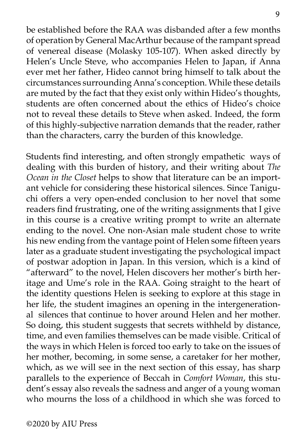be established before the RAA was disbanded after a few months of operation by General MacArthur because of the rampant spread of venereal disease (Molasky 105-107). When asked directly by Helen's Uncle Steve, who accompanies Helen to Japan, if Anna ever met her father, Hideo cannot bring himself to talk about the circumstances surrounding Anna's conception. While these details are muted by the fact that they exist only within Hideo's thoughts, students are often concerned about the ethics of Hideo's choice not to reveal these details to Steve when asked. Indeed, the form of this highly-subjective narration demands that the reader, rather than the characters, carry the burden of this knowledge.

Students find interesting, and often strongly empathetic ways of dealing with this burden of history, and their writing about *The Ocean in the Closet* helps to show that literature can be an important vehicle for considering these historical silences. Since Taniguchi offers a very open-ended conclusion to her novel that some readers find frustrating, one of the writing assignments that I give in this course is a creative writing prompt to write an alternate ending to the novel. One non-Asian male student chose to write his new ending from the vantage point of Helen some fifteen years later as a graduate student investigating the psychological impact of postwar adoption in Japan. In this version, which is a kind of "afterward" to the novel, Helen discovers her mother's birth heritage and Ume's role in the RAA. Going straight to the heart of the identity questions Helen is seeking to explore at this stage in her life, the student imagines an opening in the intergenerational silences that continue to hover around Helen and her mother. So doing, this student suggests that secrets withheld by distance, time, and even families themselves can be made visible. Critical of the ways in which Helen is forced too early to take on the issues of her mother, becoming, in some sense, a caretaker for her mother, which, as we will see in the next section of this essay, has sharp parallels to the experience of Beccah in *Comfort Woman*, this student's essay also reveals the sadness and anger of a young woman who mourns the loss of a childhood in which she was forced to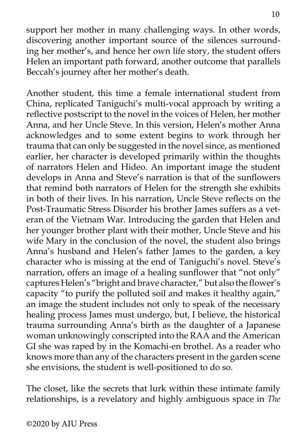support her mother in many challenging ways. In other words, discovering another important source of the silences surrounding her mother's, and hence her own life story, the student offers Helen an important path forward, another outcome that parallels Beccah's journey after her mother's death.

Another student, this time a female international student from China, replicated Taniguchi's multi-vocal approach by writing a reflective postscript to the novel in the voices of Helen, her mother Anna, and her Uncle Steve. In this version, Helen's mother Anna acknowledges and to some extent begins to work through her trauma that can only be suggested in the novel since, as mentioned earlier, her character is developed primarily within the thoughts of narrators Helen and Hideo. An important image the student develops in Anna and Steve's narration is that of the sunflowers that remind both narrators of Helen for the strength she exhibits in both of their lives. In his narration, Uncle Steve reflects on the Post-Traumatic Stress Disorder his brother James suffers as a veteran of the Vietnam War. Introducing the garden that Helen and her younger brother plant with their mother, Uncle Steve and his wife Mary in the conclusion of the novel, the student also brings Anna's husband and Helen's father James to the garden, a key character who is missing at the end of Taniguchi's novel. Steve's narration, offers an image of a healing sunflower that "not only" captures Helen's "bright and brave character," but also the flower's capacity "to purify the polluted soil and makes it healthy again," an image the student includes not only to speak of the necessary healing process James must undergo, but, I believe, the historical trauma surrounding Anna's birth as the daughter of a Japanese woman unknowingly conscripted into the RAA and the American GI she was raped by in the Komachi-en brothel. As a reader who knows more than any of the characters present in the garden scene she envisions, the student is well-positioned to do so.

The closet, like the secrets that lurk within these intimate family relationships, is a revelatory and highly ambiguous space in *The*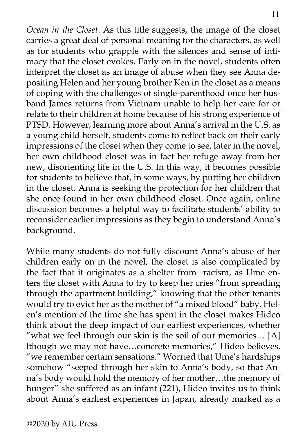*Ocean in the Closet*. As this title suggests, the image of the closet carries a great deal of personal meaning for the characters, as well as for students who grapple with the silences and sense of intimacy that the closet evokes. Early on in the novel, students often interpret the closet as an image of abuse when they see Anna depositing Helen and her young brother Ken in the closet as a means of coping with the challenges of single-parenthood once her husband James returns from Vietnam unable to help her care for or relate to their children at home because of his strong experience of PTSD. However, learning more about Anna's arrival in the U.S. as a young child herself, students come to reflect back on their early impressions of the closet when they come to see, later in the novel, her own childhood closet was in fact her refuge away from her new, disorienting life in the U.S. In this way, it becomes possible for students to believe that, in some ways, by putting her children in the closet, Anna is seeking the protection for her children that she once found in her own childhood closet. Once again, online discussion becomes a helpful way to facilitate students' ability to reconsider earlier impressions as they begin to understand Anna's background.

While many students do not fully discount Anna's abuse of her children early on in the novel, the closet is also complicated by the fact that it originates as a shelter from racism, as Ume enters the closet with Anna to try to keep her cries "from spreading through the apartment building," knowing that the other tenants would try to evict her as the mother of "a mixed blood" baby. Helen's mention of the time she has spent in the closet makes Hideo think about the deep impact of our earliest experiences, whether "what we feel through our skin is the soil of our memories… [A] lthough we may not have…concrete memories," Hideo believes, "we remember certain sensations." Worried that Ume's hardships somehow "seeped through her skin to Anna's body, so that Anna's body would hold the memory of her mother…the memory of hunger" she suffered as an infant (221), Hideo invites us to think about Anna's earliest experiences in Japan, already marked as a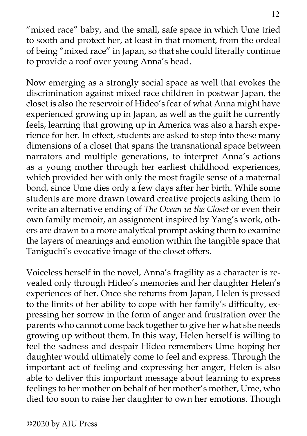"mixed race" baby, and the small, safe space in which Ume tried to sooth and protect her, at least in that moment, from the ordeal of being "mixed race" in Japan, so that she could literally continue to provide a roof over young Anna's head.

Now emerging as a strongly social space as well that evokes the discrimination against mixed race children in postwar Japan, the closet is also the reservoir of Hideo's fear of what Anna might have experienced growing up in Japan, as well as the guilt he currently feels, learning that growing up in America was also a harsh experience for her. In effect, students are asked to step into these many dimensions of a closet that spans the transnational space between narrators and multiple generations, to interpret Anna's actions as a young mother through her earliest childhood experiences, which provided her with only the most fragile sense of a maternal bond, since Ume dies only a few days after her birth. While some students are more drawn toward creative projects asking them to write an alternative ending of *The Ocean in the Closet* or even their own family memoir, an assignment inspired by Yang's work, others are drawn to a more analytical prompt asking them to examine the layers of meanings and emotion within the tangible space that Taniguchi's evocative image of the closet offers.

Voiceless herself in the novel, Anna's fragility as a character is revealed only through Hideo's memories and her daughter Helen's experiences of her. Once she returns from Japan, Helen is pressed to the limits of her ability to cope with her family's difficulty, expressing her sorrow in the form of anger and frustration over the parents who cannot come back together to give her what she needs growing up without them. In this way, Helen herself is willing to feel the sadness and despair Hideo remembers Ume hoping her daughter would ultimately come to feel and express. Through the important act of feeling and expressing her anger, Helen is also able to deliver this important message about learning to express feelings to her mother on behalf of her mother's mother, Ume, who died too soon to raise her daughter to own her emotions. Though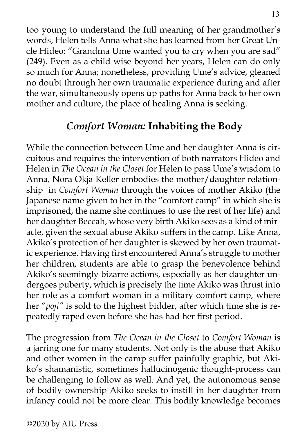too young to understand the full meaning of her grandmother's words, Helen tells Anna what she has learned from her Great Uncle Hideo: "Grandma Ume wanted you to cry when you are sad" (249). Even as a child wise beyond her years, Helen can do only so much for Anna; nonetheless, providing Ume's advice, gleaned no doubt through her own traumatic experience during and after the war, simultaneously opens up paths for Anna back to her own mother and culture, the place of healing Anna is seeking.

# *Comfort Woman:* **Inhabiting the Body**

While the connection between Ume and her daughter Anna is circuitous and requires the intervention of both narrators Hideo and Helen in *The Ocean in the Closet* for Helen to pass Ume's wisdom to Anna*,* Nora Okja Keller embodies the mother/daughter relationship in *Comfort Woman* through the voices of mother Akiko (the Japanese name given to her in the "comfort camp" in which she is imprisoned, the name she continues to use the rest of her life) and her daughter Beccah, whose very birth Akiko sees as a kind of miracle, given the sexual abuse Akiko suffers in the camp. Like Anna, Akiko's protection of her daughter is skewed by her own traumatic experience. Having first encountered Anna's struggle to mother her children, students are able to grasp the benevolence behind Akiko's seemingly bizarre actions, especially as her daughter undergoes puberty, which is precisely the time Akiko was thrust into her role as a comfort woman in a military comfort camp, where her "*poji"* is sold to the highest bidder, after which time she is repeatedly raped even before she has had her first period.

The progression from *The Ocean in the Closet* to *Comfort Woman* is a jarring one for many students. Not only is the abuse that Akiko and other women in the camp suffer painfully graphic, but Akiko's shamanistic, sometimes hallucinogenic thought-process can be challenging to follow as well. And yet, the autonomous sense of bodily ownership Akiko seeks to instill in her daughter from infancy could not be more clear. This bodily knowledge becomes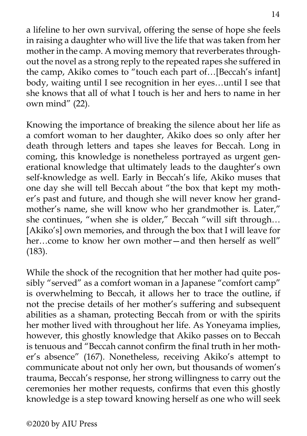a lifeline to her own survival, offering the sense of hope she feels in raising a daughter who will live the life that was taken from her mother in the camp. A moving memory that reverberates throughout the novel as a strong reply to the repeated rapes she suffered in

the camp, Akiko comes to "touch each part of…[Beccah's infant] body, waiting until I see recognition in her eyes…until I see that she knows that all of what I touch is her and hers to name in her own mind" (22).

Knowing the importance of breaking the silence about her life as a comfort woman to her daughter, Akiko does so only after her death through letters and tapes she leaves for Beccah. Long in coming, this knowledge is nonetheless portrayed as urgent generational knowledge that ultimately leads to the daughter's own self-knowledge as well. Early in Beccah's life, Akiko muses that one day she will tell Beccah about "the box that kept my mother's past and future, and though she will never know her grandmother's name, she will know who her grandmother is. Later," she continues, "when she is older," Beccah "will sift through… [Akiko's] own memories, and through the box that I will leave for her—come to know her own mother—and then herself as well" (183).

While the shock of the recognition that her mother had quite possibly "served" as a comfort woman in a Japanese "comfort camp" is overwhelming to Beccah, it allows her to trace the outline, if not the precise details of her mother's suffering and subsequent abilities as a shaman, protecting Beccah from or with the spirits her mother lived with throughout her life. As Yoneyama implies, however, this ghostly knowledge that Akiko passes on to Beccah is tenuous and "Beccah cannot confirm the final truth in her mother's absence" (167). Nonetheless, receiving Akiko's attempt to communicate about not only her own, but thousands of women's trauma, Beccah's response, her strong willingness to carry out the ceremonies her mother requests, confirms that even this ghostly knowledge is a step toward knowing herself as one who will seek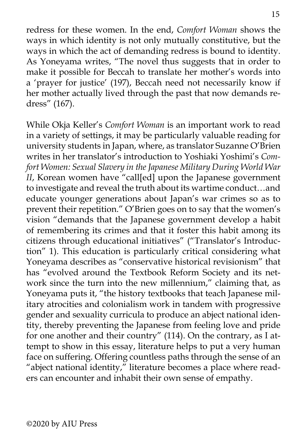redress for these women. In the end, *Comfort Woman* shows the ways in which identity is not only mutually constitutive, but the ways in which the act of demanding redress is bound to identity. As Yoneyama writes, "The novel thus suggests that in order to make it possible for Beccah to translate her mother's words into a 'prayer for justice' (197), Beccah need not necessarily know if her mother actually lived through the past that now demands redress" (167).

While Okja Keller's *Comfort Woman* is an important work to read in a variety of settings, it may be particularly valuable reading for university students in Japan, where, as translator Suzanne O'Brien writes in her translator's introduction to Yoshiaki Yoshimi's *Comfort Women: Sexual Slavery in the Japanese Military During World War II*, Korean women have "call[ed] upon the Japanese government to investigate and reveal the truth about its wartime conduct…and educate younger generations about Japan's war crimes so as to prevent their repetition." O'Brien goes on to say that the women's vision "demands that the Japanese government develop a habit of remembering its crimes and that it foster this habit among its citizens through educational initiatives" ("Translator's Introduction" 1). This education is particularly critical considering what Yoneyama describes as "conservative historical revisionism" that has "evolved around the Textbook Reform Society and its network since the turn into the new millennium," claiming that, as Yoneyama puts it, "the history textbooks that teach Japanese military atrocities and colonialism work in tandem with progressive gender and sexuality curricula to produce an abject national identity, thereby preventing the Japanese from feeling love and pride for one another and their country" (114). On the contrary, as I attempt to show in this essay, literature helps to put a very human face on suffering. Offering countless paths through the sense of an "abject national identity," literature becomes a place where readers can encounter and inhabit their own sense of empathy.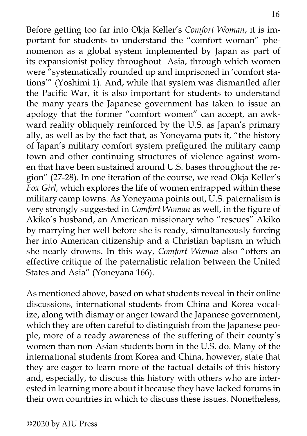Before getting too far into Okja Keller's *Comfort Woman*, it is important for students to understand the "comfort woman" phenomenon as a global system implemented by Japan as part of its expansionist policy throughout Asia, through which women were "systematically rounded up and imprisoned in 'comfort stations'" (Yoshimi 1). And, while that system was dismantled after the Pacific War, it is also important for students to understand the many years the Japanese government has taken to issue an apology that the former "comfort women" can accept, an awkward reality obliquely reinforced by the U.S. as Japan's primary ally, as well as by the fact that, as Yoneyama puts it, "the history of Japan's military comfort system prefigured the military camp town and other continuing structures of violence against women that have been sustained around U.S. bases throughout the region" (27-28). In one iteration of the course, we read Okja Keller's *Fox Girl,* which explores the life of women entrapped within these military camp towns. As Yoneyama points out, U.S. paternalism is very strongly suggested in *Comfort Woman* as well, in the figure of Akiko's husband, an American missionary who "rescues" Akiko by marrying her well before she is ready, simultaneously forcing her into American citizenship and a Christian baptism in which she nearly drowns. In this way, *Comfort Woman* also "offers an effective critique of the paternalistic relation between the United States and Asia" (Yoneyana 166).

As mentioned above, based on what students reveal in their online discussions, international students from China and Korea vocalize, along with dismay or anger toward the Japanese government, which they are often careful to distinguish from the Japanese people, more of a ready awareness of the suffering of their county's women than non-Asian students born in the U.S. do. Many of the international students from Korea and China, however, state that they are eager to learn more of the factual details of this history and, especially, to discuss this history with others who are interested in learning more about it because they have lacked forums in their own countries in which to discuss these issues. Nonetheless,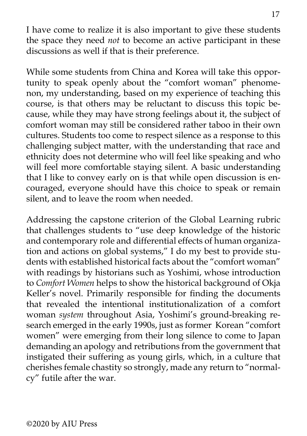I have come to realize it is also important to give these students the space they need *not* to become an active participant in these discussions as well if that is their preference.

While some students from China and Korea will take this opportunity to speak openly about the "comfort woman" phenomenon, my understanding, based on my experience of teaching this course, is that others may be reluctant to discuss this topic because, while they may have strong feelings about it, the subject of comfort woman may still be considered rather taboo in their own cultures. Students too come to respect silence as a response to this challenging subject matter, with the understanding that race and ethnicity does not determine who will feel like speaking and who will feel more comfortable staying silent. A basic understanding that I like to convey early on is that while open discussion is encouraged, everyone should have this choice to speak or remain silent, and to leave the room when needed.

Addressing the capstone criterion of the Global Learning rubric that challenges students to "use deep knowledge of the historic and contemporary role and differential effects of human organization and actions on global systems," I do my best to provide students with established historical facts about the "comfort woman" with readings by historians such as Yoshimi, whose introduction to *Comfort Women* helps to show the historical background of Okja Keller's novel. Primarily responsible for finding the documents that revealed the intentional institutionalization of a comfort woman *system* throughout Asia, Yoshimi's ground-breaking research emerged in the early 1990s, just as former Korean "comfort women" were emerging from their long silence to come to Japan demanding an apology and retributions from the government that instigated their suffering as young girls, which, in a culture that cherishes female chastity so strongly, made any return to "normalcy" futile after the war.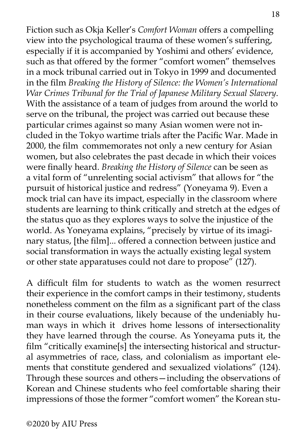Fiction such as Okja Keller's *Comfort Woman* offers a compelling view into the psychological trauma of these women's suffering, especially if it is accompanied by Yoshimi and others' evidence, such as that offered by the former "comfort women" themselves in a mock tribunal carried out in Tokyo in 1999 and documented in the film *Breaking the History of Silence: the Women's International War Crimes Tribunal for the Trial of Japanese Military Sexual Slavery*. With the assistance of a team of judges from around the world to serve on the tribunal, the project was carried out because these particular crimes against so many Asian women were not included in the Tokyo wartime trials after the Pacific War. Made in 2000, the film commemorates not only a new century for Asian women, but also celebrates the past decade in which their voices were finally heard. *Breaking the History of Silence* can be seen as a vital form of "unrelenting social activism" that allows for "the pursuit of historical justice and redress" (Yoneyama 9). Even a mock trial can have its impact, especially in the classroom where students are learning to think critically and stretch at the edges of the status quo as they explores ways to solve the injustice of the world. As Yoneyama explains, "precisely by virtue of its imaginary status, [the film]... offered a connection between justice and social transformation in ways the actually existing legal system or other state apparatuses could not dare to propose" (127).

A difficult film for students to watch as the women resurrect their experience in the comfort camps in their testimony, students nonetheless comment on the film as a significant part of the class in their course evaluations, likely because of the undeniably human ways in which it drives home lessons of intersectionality they have learned through the course. As Yoneyama puts it, the film "critically examine[s] the intersecting historical and structural asymmetries of race, class, and colonialism as important elements that constitute gendered and sexualized violations" (124). Through these sources and others—including the observations of Korean and Chinese students who feel comfortable sharing their impressions of those the former "comfort women" the Korean stu-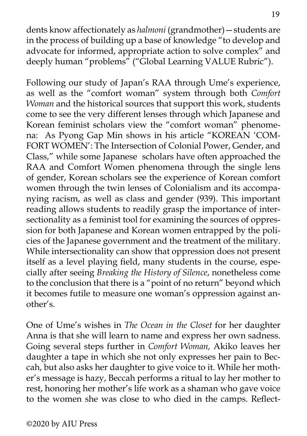dents know affectionately as *halmoni* (grandmother)—students are in the process of building up a base of knowledge "to develop and advocate for informed, appropriate action to solve complex" and deeply human "problems" ("Global Learning VALUE Rubric").

Following our study of Japan's RAA through Ume's experience, as well as the "comfort woman" system through both *Comfort Woman* and the historical sources that support this work, students come to see the very different lenses through which Japanese and Korean feminist scholars view the "comfort woman" phenomena: As Pyong Gap Min shows in his article "KOREAN 'COM-FORT WOMEN': The Intersection of Colonial Power, Gender, and Class," while some Japanese scholars have often approached the RAA and Comfort Women phenomena through the single lens of gender, Korean scholars see the experience of Korean comfort women through the twin lenses of Colonialism and its accompanying racism, as well as class and gender (939). This important reading allows students to readily grasp the importance of intersectionality as a feminist tool for examining the sources of oppression for both Japanese and Korean women entrapped by the policies of the Japanese government and the treatment of the military. While intersectionality can show that oppression does not present itself as a level playing field, many students in the course, especially after seeing *Breaking the History of Silence*, nonetheless come to the conclusion that there is a "point of no return" beyond which it becomes futile to measure one woman's oppression against another's.

One of Ume's wishes in *The Ocean in the Closet* for her daughter Anna is that she will learn to name and express her own sadness. Going several steps further in *Comfort Woman,* Akiko leaves her daughter a tape in which she not only expresses her pain to Beccah, but also asks her daughter to give voice to it. While her mother's message is hazy, Beccah performs a ritual to lay her mother to rest, honoring her mother's life work as a shaman who gave voice to the women she was close to who died in the camps. Reflect-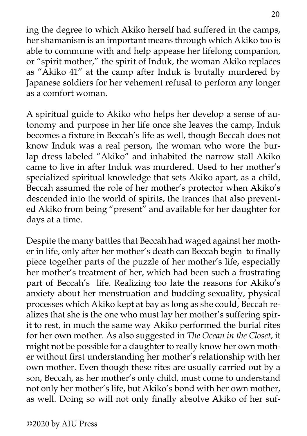ing the degree to which Akiko herself had suffered in the camps, her shamanism is an important means through which Akiko too is able to commune with and help appease her lifelong companion, or "spirit mother," the spirit of Induk, the woman Akiko replaces as "Akiko 41" at the camp after Induk is brutally murdered by Japanese soldiers for her vehement refusal to perform any longer as a comfort woman.

A spiritual guide to Akiko who helps her develop a sense of autonomy and purpose in her life once she leaves the camp, Induk becomes a fixture in Beccah's life as well, though Beccah does not know Induk was a real person, the woman who wore the burlap dress labeled "Akiko" and inhabited the narrow stall Akiko came to live in after Induk was murdered. Used to her mother's specialized spiritual knowledge that sets Akiko apart, as a child, Beccah assumed the role of her mother's protector when Akiko's descended into the world of spirits, the trances that also prevented Akiko from being "present" and available for her daughter for days at a time.

Despite the many battles that Beccah had waged against her mother in life, only after her mother's death can Beccah begin to finally piece together parts of the puzzle of her mother's life, especially her mother's treatment of her, which had been such a frustrating part of Beccah's life. Realizing too late the reasons for Akiko's anxiety about her menstruation and budding sexuality, physical processes which Akiko kept at bay as long as she could, Beccah realizes that she is the one who must lay her mother's suffering spirit to rest, in much the same way Akiko performed the burial rites for her own mother. As also suggested in *The Ocean in the Closet*, it might not be possible for a daughter to really know her own mother without first understanding her mother's relationship with her own mother. Even though these rites are usually carried out by a son, Beccah, as her mother's only child, must come to understand not only her mother's life, but Akiko's bond with her own mother, as well. Doing so will not only finally absolve Akiko of her suf-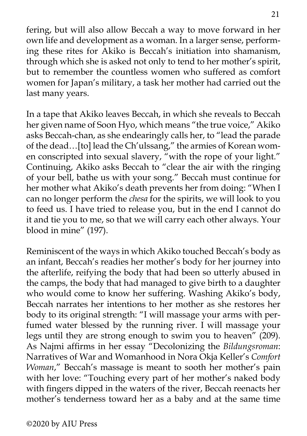fering, but will also allow Beccah a way to move forward in her own life and development as a woman. In a larger sense, performing these rites for Akiko is Beccah's initiation into shamanism, through which she is asked not only to tend to her mother's spirit, but to remember the countless women who suffered as comfort women for Japan's military, a task her mother had carried out the last many years.

In a tape that Akiko leaves Beccah, in which she reveals to Beccah her given name of Soon Hyo, which means "the true voice," Akiko asks Beccah-chan, as she endearingly calls her, to "lead the parade of the dead…[to] lead the Ch'ulssang," the armies of Korean women conscripted into sexual slavery, "with the rope of your light." Continuing, Akiko asks Beccah to "clear the air with the ringing of your bell, bathe us with your song." Beccah must continue for her mother what Akiko's death prevents her from doing: "When I can no longer perform the *chesa* for the spirits, we will look to you to feed us. I have tried to release you, but in the end I cannot do it and tie you to me, so that we will carry each other always. Your blood in mine" (197).

Reminiscent of the ways in which Akiko touched Beccah's body as an infant, Beccah's readies her mother's body for her journey into the afterlife, reifying the body that had been so utterly abused in the camps, the body that had managed to give birth to a daughter who would come to know her suffering. Washing Akiko's body, Beccah narrates her intentions to her mother as she restores her body to its original strength: "I will massage your arms with perfumed water blessed by the running river. I will massage your legs until they are strong enough to swim you to heaven" (209). As Najmi affirms in her essay "Decolonizing the *Bildungsroman*: Narratives of War and Womanhood in Nora Okja Keller's *Comfort Woman*," Beccah's massage is meant to sooth her mother's pain with her love: "Touching every part of her mother's naked body with fingers dipped in the waters of the river, Beccah reenacts her mother's tenderness toward her as a baby and at the same time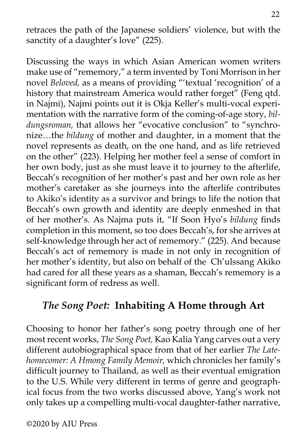retraces the path of the Japanese soldiers' violence, but with the sanctity of a daughter's love" (225).

Discussing the ways in which Asian American women writers make use of "rememory," a term invented by Toni Morrison in her novel *Beloved,* as a means of providing "'textual 'recognition' of a history that mainstream America would rather forget" (Feng qtd. in Najmi), Najmi points out it is Okja Keller's multi-vocal experimentation with the narrative form of the coming-of-age story, *bildungsroman,* that allows her "evocative conclusion" to "synchronize…the *bildung* of mother and daughter, in a moment that the novel represents as death, on the one hand, and as life retrieved on the other" (223). Helping her mother feel a sense of comfort in her own body, just as she must leave it to journey to the afterlife, Beccah's recognition of her mother's past and her own role as her mother's caretaker as she journeys into the afterlife contributes to Akiko's identity as a survivor and brings to life the notion that Beccah's own growth and identity are deeply enmeshed in that of her mother's. As Najma puts it, "If Soon Hyo's *bildung* finds completion in this moment, so too does Beccah's, for she arrives at self-knowledge through her act of rememory." (225). And because Beccah's act of rememory is made in not only in recognition of her mother's identity, but also on behalf of the Ch'ulssang Akiko had cared for all these years as a shaman, Beccah's rememory is a significant form of redress as well.

## *The Song Poet:* **Inhabiting A Home through Art**

Choosing to honor her father's song poetry through one of her most recent works, *The Song Poet,* Kao Kalia Yang carves out a very different autobiographical space from that of her earlier *The Latehomecomer: A Hmong Family Memoir,* which chronicles her family's difficult journey to Thailand, as well as their eventual emigration to the U.S. While very different in terms of genre and geographical focus from the two works discussed above, Yang's work not only takes up a compelling multi-vocal daughter-father narrative,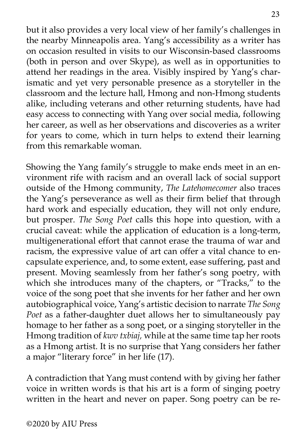but it also provides a very local view of her family's challenges in the nearby Minneapolis area. Yang's accessibility as a writer has on occasion resulted in visits to our Wisconsin-based classrooms (both in person and over Skype), as well as in opportunities to attend her readings in the area. Visibly inspired by Yang's charismatic and yet very personable presence as a storyteller in the classroom and the lecture hall, Hmong and non-Hmong students alike, including veterans and other returning students, have had easy access to connecting with Yang over social media, following her career, as well as her observations and discoveries as a writer for years to come, which in turn helps to extend their learning from this remarkable woman.

Showing the Yang family's struggle to make ends meet in an environment rife with racism and an overall lack of social support outside of the Hmong community, *The Latehomecomer* also traces the Yang's perseverance as well as their firm belief that through hard work and especially education, they will not only endure, but prosper. *The Song Poet* calls this hope into question, with a crucial caveat: while the application of education is a long-term, multigenerational effort that cannot erase the trauma of war and racism, the expressive value of art can offer a vital chance to encapsulate experience, and, to some extent, ease suffering, past and present. Moving seamlessly from her father's song poetry, with which she introduces many of the chapters, or "Tracks," to the voice of the song poet that she invents for her father and her own autobiographical voice, Yang's artistic decision to narrate *The Song Poet* as a father-daughter duet allows her to simultaneously pay homage to her father as a song poet, or a singing storyteller in the Hmong tradition of *kwv txbiaj,* while at the same time tap her roots as a Hmong artist. It is no surprise that Yang considers her father a major "literary force" in her life (17).

A contradiction that Yang must contend with by giving her father voice in written words is that his art is a form of singing poetry written in the heart and never on paper. Song poetry can be re-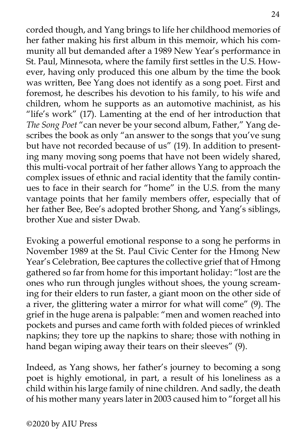corded though, and Yang brings to life her childhood memories of her father making his first album in this memoir, which his community all but demanded after a 1989 New Year's performance in St. Paul, Minnesota, where the family first settles in the U.S. However, having only produced this one album by the time the book was written, Bee Yang does not identify as a song poet. First and foremost, he describes his devotion to his family, to his wife and children, whom he supports as an automotive machinist, as his "life's work" (17). Lamenting at the end of her introduction that *The Song Poet* "can never be your second album, Father," Yang describes the book as only "an answer to the songs that you've sung but have not recorded because of us" (19). In addition to presenting many moving song poems that have not been widely shared, this multi-vocal portrait of her father allows Yang to approach the complex issues of ethnic and racial identity that the family continues to face in their search for "home" in the U.S. from the many vantage points that her family members offer, especially that of her father Bee, Bee's adopted brother Shong, and Yang's siblings, brother Xue and sister Dwab.

Evoking a powerful emotional response to a song he performs in November 1989 at the St. Paul Civic Center for the Hmong New Year's Celebration, Bee captures the collective grief that of Hmong gathered so far from home for this important holiday: "lost are the ones who run through jungles without shoes, the young screaming for their elders to run faster, a giant moon on the other side of a river, the glittering water a mirror for what will come" (9). The grief in the huge arena is palpable: "men and women reached into pockets and purses and came forth with folded pieces of wrinkled napkins; they tore up the napkins to share; those with nothing in hand began wiping away their tears on their sleeves" (9).

Indeed, as Yang shows, her father's journey to becoming a song poet is highly emotional, in part, a result of his loneliness as a child within his large family of nine children. And sadly, the death of his mother many years later in 2003 caused him to "forget all his

©2020 by AIU Press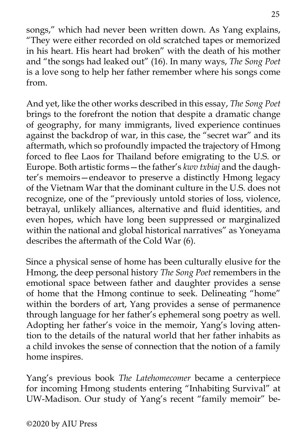songs," which had never been written down. As Yang explains, "They were either recorded on old scratched tapes or memorized in his heart. His heart had broken" with the death of his mother and "the songs had leaked out" (16). In many ways, *The Song Poet* is a love song to help her father remember where his songs come from.

And yet, like the other works described in this essay, *The Song Poet*  brings to the forefront the notion that despite a dramatic change of geography, for many immigrants, lived experience continues against the backdrop of war, in this case, the "secret war" and its aftermath, which so profoundly impacted the trajectory of Hmong forced to flee Laos for Thailand before emigrating to the U.S. or Europe. Both artistic forms—the father's *kwv txbiaj* and the daughter's memoirs—endeavor to preserve a distinctly Hmong legacy of the Vietnam War that the dominant culture in the U.S. does not recognize, one of the "previously untold stories of loss, violence, betrayal, unlikely alliances, alternative and fluid identities, and even hopes, which have long been suppressed or marginalized within the national and global historical narratives" as Yoneyama describes the aftermath of the Cold War (6).

Since a physical sense of home has been culturally elusive for the Hmong, the deep personal history *The Song Poet* remembers in the emotional space between father and daughter provides a sense of home that the Hmong continue to seek. Delineating "home" within the borders of art, Yang provides a sense of permanence through language for her father's ephemeral song poetry as well. Adopting her father's voice in the memoir, Yang's loving attention to the details of the natural world that her father inhabits as a child invokes the sense of connection that the notion of a family home inspires.

Yang's previous book *The Latehomecomer* became a centerpiece for incoming Hmong students entering "Inhabiting Survival" at UW-Madison. Our study of Yang's recent "family memoir" be-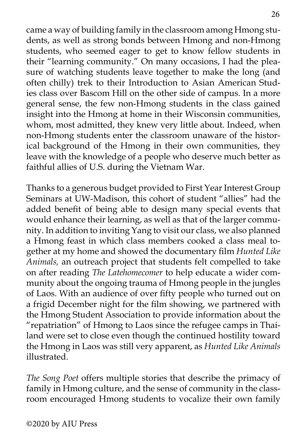came a way of building family in the classroom among Hmong students, as well as strong bonds between Hmong and non-Hmong students, who seemed eager to get to know fellow students in their "learning community." On many occasions, I had the pleasure of watching students leave together to make the long (and often chilly) trek to their Introduction to Asian American Studies class over Bascom Hill on the other side of campus. In a more general sense, the few non-Hmong students in the class gained insight into the Hmong at home in their Wisconsin communities, whom, most admitted, they knew very little about. Indeed, when non-Hmong students enter the classroom unaware of the historical background of the Hmong in their own communities, they leave with the knowledge of a people who deserve much better as faithful allies of U.S. during the Vietnam War.

Thanks to a generous budget provided to First Year Interest Group Seminars at UW-Madison, this cohort of student "allies" had the added benefit of being able to design many special events that would enhance their learning, as well as that of the larger community. In addition to inviting Yang to visit our class, we also planned a Hmong feast in which class members cooked a class meal together at my home and showed the documentary film *Hunted Like Animals,* an outreach project that students felt compelled to take on after reading *The Latehomecomer* to help educate a wider community about the ongoing trauma of Hmong people in the jungles of Laos. With an audience of over fifty people who turned out on a frigid December night for the film showing, we partnered with the Hmong Student Association to provide information about the "repatriation" of Hmong to Laos since the refugee camps in Thailand were set to close even though the continued hostility toward the Hmong in Laos was still very apparent, as *Hunted Like Animals* illustrated.

*The Song Poet* offers multiple stories that describe the primacy of family in Hmong culture, and the sense of community in the classroom encouraged Hmong students to vocalize their own family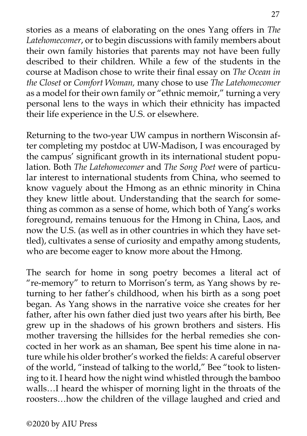stories as a means of elaborating on the ones Yang offers in *The Latehomecomer*, or to begin discussions with family members about their own family histories that parents may not have been fully described to their children. While a few of the students in the course at Madison chose to write their final essay on *The Ocean in the Closet* or *Comfort Woman,* many chose to use *The Latehomecomer*  as a model for their own family or "ethnic memoir," turning a very personal lens to the ways in which their ethnicity has impacted their life experience in the U.S. or elsewhere.

Returning to the two-year UW campus in northern Wisconsin after completing my postdoc at UW-Madison, I was encouraged by the campus' significant growth in its international student population. Both *The Latehomecomer* and *The Song Poet* were of particular interest to international students from China, who seemed to know vaguely about the Hmong as an ethnic minority in China they knew little about. Understanding that the search for something as common as a sense of home, which both of Yang's works foreground, remains tenuous for the Hmong in China, Laos, and now the U.S. (as well as in other countries in which they have settled), cultivates a sense of curiosity and empathy among students, who are become eager to know more about the Hmong.

The search for home in song poetry becomes a literal act of "re-memory" to return to Morrison's term, as Yang shows by returning to her father's childhood, when his birth as a song poet began. As Yang shows in the narrative voice she creates for her father, after his own father died just two years after his birth, Bee grew up in the shadows of his grown brothers and sisters. His mother traversing the hillsides for the herbal remedies she concocted in her work as an shaman, Bee spent his time alone in nature while his older brother's worked the fields: A careful observer of the world, "instead of talking to the world," Bee "took to listening to it. I heard how the night wind whistled through the bamboo walls…I heard the whisper of morning light in the throats of the roosters…how the children of the village laughed and cried and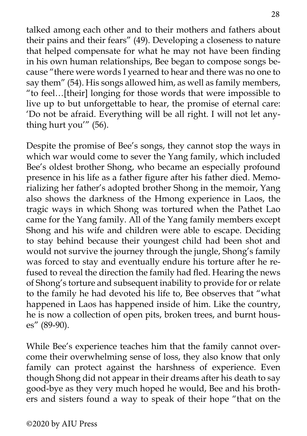talked among each other and to their mothers and fathers about their pains and their fears" (49). Developing a closeness to nature that helped compensate for what he may not have been finding in his own human relationships, Bee began to compose songs because "there were words I yearned to hear and there was no one to say them" (54). His songs allowed him, as well as family members, "to feel…[their] longing for those words that were impossible to live up to but unforgettable to hear, the promise of eternal care: 'Do not be afraid. Everything will be all right. I will not let anything hurt you'" (56).

Despite the promise of Bee's songs, they cannot stop the ways in which war would come to sever the Yang family, which included Bee's oldest brother Shong, who became an especially profound presence in his life as a father figure after his father died. Memorializing her father's adopted brother Shong in the memoir, Yang also shows the darkness of the Hmong experience in Laos, the tragic ways in which Shong was tortured when the Pathet Lao came for the Yang family. All of the Yang family members except Shong and his wife and children were able to escape. Deciding to stay behind because their youngest child had been shot and would not survive the journey through the jungle, Shong's family was forced to stay and eventually endure his torture after he refused to reveal the direction the family had fled. Hearing the news of Shong's torture and subsequent inability to provide for or relate to the family he had devoted his life to, Bee observes that "what happened in Laos has happened inside of him. Like the country, he is now a collection of open pits, broken trees, and burnt houses" (89-90).

While Bee's experience teaches him that the family cannot overcome their overwhelming sense of loss, they also know that only family can protect against the harshness of experience. Even though Shong did not appear in their dreams after his death to say good-bye as they very much hoped he would, Bee and his brothers and sisters found a way to speak of their hope "that on the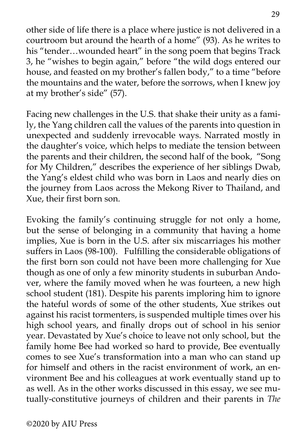other side of life there is a place where justice is not delivered in a courtroom but around the hearth of a home" (93). As he writes to his "tender…wounded heart" in the song poem that begins Track 3, he "wishes to begin again," before "the wild dogs entered our house, and feasted on my brother's fallen body," to a time "before the mountains and the water, before the sorrows, when I knew joy at my brother's side" (57).

Facing new challenges in the U.S. that shake their unity as a family, the Yang children call the values of the parents into question in unexpected and suddenly irrevocable ways. Narrated mostly in the daughter's voice, which helps to mediate the tension between the parents and their children, the second half of the book, "Song for My Children," describes the experience of her siblings Dwab, the Yang's eldest child who was born in Laos and nearly dies on the journey from Laos across the Mekong River to Thailand, and Xue, their first born son.

Evoking the family's continuing struggle for not only a home, but the sense of belonging in a community that having a home implies, Xue is born in the U.S. after six miscarriages his mother suffers in Laos (98-100). Fulfilling the considerable obligations of the first born son could not have been more challenging for Xue though as one of only a few minority students in suburban Andover, where the family moved when he was fourteen, a new high school student (181). Despite his parents imploring him to ignore the hateful words of some of the other students, Xue strikes out against his racist tormenters, is suspended multiple times over his high school years, and finally drops out of school in his senior year. Devastated by Xue's choice to leave not only school, but the family home Bee had worked so hard to provide, Bee eventually comes to see Xue's transformation into a man who can stand up for himself and others in the racist environment of work, an environment Bee and his colleagues at work eventually stand up to as well. As in the other works discussed in this essay, we see mutually-constitutive journeys of children and their parents in *The*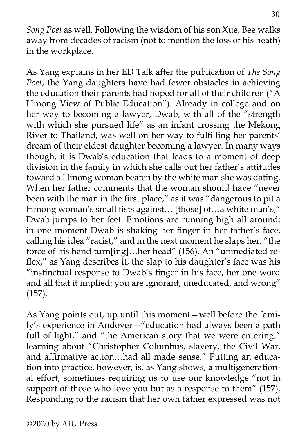*Song Poet* as well. Following the wisdom of his son Xue, Bee walks away from decades of racism (not to mention the loss of his heath) in the workplace.

As Yang explains in her ED Talk after the publication of *The Song Poet*, the Yang daughters have had fewer obstacles in achieving the education their parents had hoped for all of their children ("A Hmong View of Public Education"). Already in college and on her way to becoming a lawyer, Dwab, with all of the "strength with which she pursued life" as an infant crossing the Mekong River to Thailand, was well on her way to fulfilling her parents' dream of their eldest daughter becoming a lawyer. In many ways though, it is Dwab's education that leads to a moment of deep division in the family in which she calls out her father's attitudes toward a Hmong woman beaten by the white man she was dating. When her father comments that the woman should have "never been with the man in the first place," as it was "dangerous to pit a Hmong woman's small fists against… [those] of…a white man's," Dwab jumps to her feet. Emotions are running high all around: in one moment Dwab is shaking her finger in her father's face, calling his idea "racist," and in the next moment he slaps her, "the force of his hand turn[ing]…her head" (156). An "unmediated reflex," as Yang describes it, the slap to his daughter's face was his "instinctual response to Dwab's finger in his face, her one word and all that it implied: you are ignorant, uneducated, and wrong" (157).

As Yang points out, up until this moment—well before the family's experience in Andover—"education had always been a path full of light," and "the American story that we were entering," learning about "Christopher Columbus, slavery, the Civil War, and affirmative action…had all made sense." Putting an education into practice, however, is, as Yang shows, a multigenerational effort, sometimes requiring us to use our knowledge "not in support of those who love you but as a response to them" (157). Responding to the racism that her own father expressed was not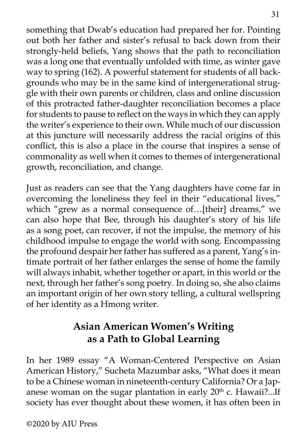something that Dwab's education had prepared her for. Pointing out both her father and sister's refusal to back down from their strongly-held beliefs, Yang shows that the path to reconciliation was a long one that eventually unfolded with time, as winter gave way to spring (162). A powerful statement for students of all backgrounds who may be in the same kind of intergenerational struggle with their own parents or children, class and online discussion of this protracted father-daughter reconciliation becomes a place for students to pause to reflect on the ways in which they can apply the writer's experience to their own. While much of our discussion at this juncture will necessarily address the racial origins of this conflict, this is also a place in the course that inspires a sense of commonality as well when it comes to themes of intergenerational growth, reconciliation, and change.

Just as readers can see that the Yang daughters have come far in overcoming the loneliness they feel in their "educational lives," which "grew as a normal consequence of…[their] dreams," we can also hope that Bee, through his daughter's story of his life as a song poet, can recover, if not the impulse, the memory of his childhood impulse to engage the world with song. Encompassing the profound despair her father has suffered as a parent, Yang's intimate portrait of her father enlarges the sense of home the family will always inhabit, whether together or apart, in this world or the next, through her father's song poetry. In doing so, she also claims an important origin of her own story telling, a cultural wellspring of her identity as a Hmong writer.

# **Asian American Women's Writing as a Path to Global Learning**

In her 1989 essay "A Woman-Centered Perspective on Asian American History," Sucheta Mazumbar asks, "What does it mean to be a Chinese woman in nineteenth-century California? Or a Japanese woman on the sugar plantation in early  $20<sup>th</sup>$  c. Hawaii?...If society has ever thought about these women, it has often been in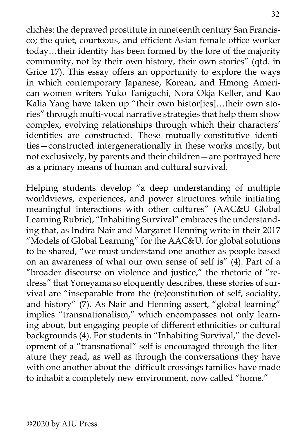clichés: the depraved prostitute in nineteenth century San Francisco; the quiet, courteous, and efficient Asian female office worker today…their identity has been formed by the lore of the majority community, not by their own history, their own stories" (qtd. in Grice 17). This essay offers an opportunity to explore the ways in which contemporary Japanese, Korean, and Hmong American women writers Yuko Taniguchi, Nora Okja Keller, and Kao Kalia Yang have taken up "their own histor[ies]…their own stories" through multi-vocal narrative strategies that help them show complex, evolving relationships through which their characters' identities are constructed. These mutually-constitutive identities—constructed intergenerationally in these works mostly, but not exclusively, by parents and their children—are portrayed here as a primary means of human and cultural survival.

Helping students develop "a deep understanding of multiple worldviews, experiences, and power structures while initiating meaningful interactions with other cultures" (AAC&U Global Learning Rubric), "Inhabiting Survival" embraces the understanding that, as Indira Nair and Margaret Henning write in their 2017 "Models of Global Learning" for the AAC&U, for global solutions to be shared, "we must understand one another as people based on an awareness of what our own sense of self is"  $(4)$ . Part of a "broader discourse on violence and justice," the rhetoric of "redress" that Yoneyama so eloquently describes, these stories of survival are "inseparable from the (re)constitution of self, sociality, and history"  $(7)$ . As Nair and Henning assert, "global learning" implies "transnationalism," which encompasses not only learning about, but engaging people of different ethnicities or cultural backgrounds (4). For students in "Inhabiting Survival," the development of a "transnational" self is encouraged through the literature they read, as well as through the conversations they have with one another about the difficult crossings families have made to inhabit a completely new environment, now called "home."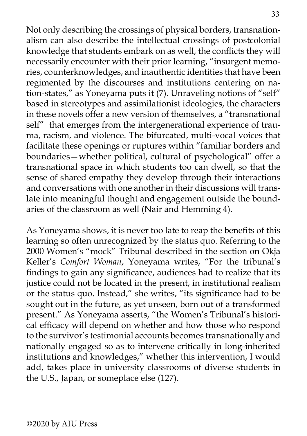Not only describing the crossings of physical borders, transnationalism can also describe the intellectual crossings of postcolonial knowledge that students embark on as well, the conflicts they will necessarily encounter with their prior learning, "insurgent memories, counterknowledges, and inauthentic identities that have been regimented by the discourses and institutions centering on nation-states," as Yoneyama puts it (7). Unraveling notions of "self" based in stereotypes and assimilationist ideologies, the characters in these novels offer a new version of themselves, a "transnational self" that emerges from the intergenerational experience of trauma, racism, and violence. The bifurcated, multi-vocal voices that facilitate these openings or ruptures within "familiar borders and boundaries—whether political, cultural of psychological" offer a transnational space in which students too can dwell, so that the sense of shared empathy they develop through their interactions and conversations with one another in their discussions will translate into meaningful thought and engagement outside the boundaries of the classroom as well (Nair and Hemming 4).

As Yoneyama shows, it is never too late to reap the benefits of this learning so often unrecognized by the status quo. Referring to the 2000 Women's "mock" Tribunal described in the section on Okja Keller's *Comfort Woman*, Yoneyama writes, "For the tribunal's findings to gain any significance, audiences had to realize that its justice could not be located in the present, in institutional realism or the status quo. Instead," she writes, "its significance had to be sought out in the future, as yet unseen, born out of a transformed present." As Yoneyama asserts, "the Women's Tribunal's historical efficacy will depend on whether and how those who respond to the survivor's testimonial accounts becomes transnationally and nationally engaged so as to intervene critically in long-inherited institutions and knowledges," whether this intervention, I would add, takes place in university classrooms of diverse students in the U.S., Japan, or someplace else (127).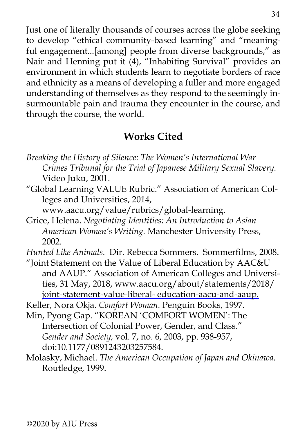Just one of literally thousands of courses across the globe seeking to develop "ethical community-based learning" and "meaningful engagement...[among] people from diverse backgrounds," as Nair and Henning put it (4), "Inhabiting Survival" provides an environment in which students learn to negotiate borders of race and ethnicity as a means of developing a fuller and more engaged understanding of themselves as they respond to the seemingly insurmountable pain and trauma they encounter in the course, and through the course, the world.

# **Works Cited**

- *Breaking the History of Silence: The Women's International War Crimes Tribunal for the Trial of Japanese Military Sexual Slavery.*  Video Juku, 2001.
- "Global Learning VALUE Rubric." Association of American Colleges and Universities, 2014,

[www.aacu.org/value/rubrics/global-learning](http://www.aacu.org/value/rubrics/global-learning).

Grice, Helena. *Negotiating Identities: An Introduction to Asian American Women's Writing.* Manchester University Press, 2002.

*Hunted Like Animals.* Dir. Rebecca Sommers. Sommerfilms, 2008.

"Joint Statement on the Value of Liberal Education by AAC&U and AAUP." Association of American Colleges and Universities, 31 May, 2018, [www.aacu.org/about/statements/2018/](http://www.aacu.org/about/statements/2018/joint-statement-value-liberal-%20education-aacu-and-aaup) [joint-statement-value-liberal- education-aacu-and-aaup.](http://www.aacu.org/about/statements/2018/joint-statement-value-liberal-%20education-aacu-and-aaup)

Keller, Nora Okja. *Comfort Woman.* Penguin Books, 1997.

- Min, Pyong Gap. "KOREAN 'COMFORT WOMEN': The Intersection of Colonial Power, Gender, and Class." *Gender and Society,* vol. 7, no. 6, 2003, pp. 938-957, doi:10.1177/0891243203257584.
- Molasky, Michael. *The American Occupation of Japan and Okinawa.*  Routledge, 1999.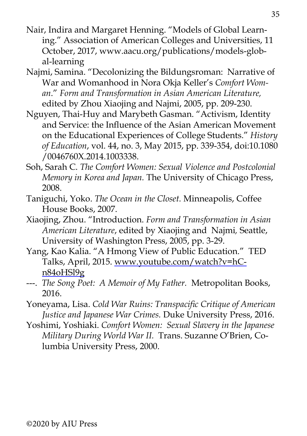- Nair, Indira and Margaret Henning. "Models of Global Learning." Association of American Colleges and Universities, 11 October, 2017, www.aacu.org/publications/models-global-learning
- Najmi, Samina. "Decolonizing the Bildungsroman: Narrative of War and Womanhood in Nora Okja Keller's *Comfort Woman*." *Form and Transformation in Asian American Literature,* edited by Zhou Xiaojing and Najmi, 2005, pp. 209-230.
- Nguyen, Thai-Huy and Marybeth Gasman. "Activism, Identity and Service: the Influence of the Asian American Movement on the Educational Experiences of College Students." *History of Education*, vol. 44, no. 3, May 2015, pp. 339-354, doi:10.1080 /0046760X.2014.1003338.
- Soh, Sarah C. *The Comfort Women: Sexual Violence and Postcolonial Memory in Korea and Japan.* The University of Chicago Press, 2008.
- Taniguchi, Yoko. *The Ocean in the Closet.* Minneapolis, Coffee House Books, 2007.
- Xiaojing, Zhou. "Introduction. *Form and Transformation in Asian American Literature*, edited by Xiaojing and Najmi*,* Seattle, University of Washington Press, 2005, pp. 3-29.
- Yang, Kao Kalia. "A Hmong View of Public Education." TED Talks, April, 2015. [www.youtube.com/watch?v=hC](http://www.youtube.com/watch?v=hCn84oHSl9g)[n84oHSl9g](http://www.youtube.com/watch?v=hCn84oHSl9g)
- ---. *The Song Poet: A Memoir of My Father.* Metropolitan Books, 2016.
- Yoneyama, Lisa. *Cold War Ruins: Transpacific Critique of American Justice and Japanese War Crimes.* Duke University Press, 2016.
- Yoshimi, Yoshiaki. *Comfort Women: Sexual Slavery in the Japanese Military During World War II.* Trans. Suzanne O'Brien, Columbia University Press, 2000.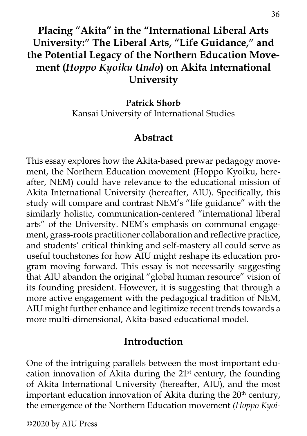# **Placing "Akita" in the "International Liberal Arts University:" The Liberal Arts, "Life Guidance," and the Potential Legacy of the Northern Education Movement (***Hoppo Kyoiku Undo***) on Akita International University**

**Patrick Shorb** Kansai University of International Studies

### **Abstract**

This essay explores how the Akita-based prewar pedagogy movement, the Northern Education movement (Hoppo Kyoiku, hereafter, NEM) could have relevance to the educational mission of Akita International University (hereafter, AIU). Specifically, this study will compare and contrast NEM's "life guidance" with the similarly holistic, communication-centered "international liberal arts" of the University. NEM's emphasis on communal engagement, grass-roots practitioner collaboration and reflective practice, and students' critical thinking and self-mastery all could serve as useful touchstones for how AIU might reshape its education program moving forward. This essay is not necessarily suggesting that AIU abandon the original "global human resource" vision of its founding president. However, it is suggesting that through a more active engagement with the pedagogical tradition of NEM, AIU might further enhance and legitimize recent trends towards a more multi-dimensional, Akita-based educational model.

### **Introduction**

One of the intriguing parallels between the most important education innovation of Akita during the  $21<sup>st</sup>$  century, the founding of Akita International University (hereafter, AIU), and the most important education innovation of Akita during the  $20<sup>th</sup>$  century, the emergence of the Northern Education movement *(Hoppo Kyoi-*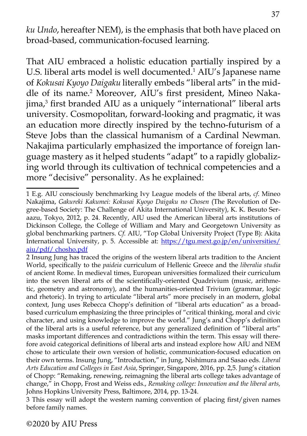*ku Undo*, hereafter NEM), is the emphasis that both have placed on broad-based, communication-focused learning.

That AIU embraced a holistic education partially inspired by a U.S. liberal arts model is well documented.<sup>1</sup> AIU's Japanese name of *Kokusai Kyoyo Daigaku* literally embeds "liberal arts" in the middle of its name.<sup>2</sup> Moreover, AIU's first president, Mineo Nakajima,3 first branded AIU as a uniquely "international" liberal arts university. Cosmopolitan, forward-looking and pragmatic, it was an education more directly inspired by the techno-futurism of a Steve Jobs than the classical humanism of a Cardinal Newman. Nakajima particularly emphasized the importance of foreign language mastery as it helped students "adapt" to a rapidly globalizing world through its cultivation of technical competencies and a more "decisive" personality. As he explained:

3 This essay will adopt the western naming convention of placing first/given names before family names.

<sup>1</sup> E.g. AIU consciously benchmarking Ivy League models of the liberal arts, *cf*. Mineo Nakajima, *Gakureki Kakumei: Kokusai Kyoyo Daigaku no Chosen* (The Revolution of Degree-based Society: The Challenge of Akita International University), K. K. Besuto Seraazu, Tokyo, 2012, p. 24. Recently, AIU used the American liberal arts institutions of Dickinson College, the College of William and Mary and Georgetown University as global benchmarking partners. *Cf.* AIU, "Top Global University Project (Type B): Akita International University, p. 5. Accessible at: [https://tgu.mext.go.jp/en/universities/](https://tgu.mext.go.jp/en/universities/aiu/pdf/%20chosho.pdf) [aiu/pdf/ chosho.pdf](https://tgu.mext.go.jp/en/universities/aiu/pdf/%20chosho.pdf) 

<sup>2</sup> Insung Jung has traced the origins of the western liberal arts tradition to the Ancient World, specifically to the *paideia* curriculum of Hellenic Greece and the *liberalia studia* of ancient Rome. In medieval times, European universities formalized their curriculum into the seven liberal arts of the scientifically-oriented Quadrivium (music, arithmetic, geometry and astronomy), and the humanities-oriented Trivium (grammar, logic and rhetoric). In trying to articulate "liberal arts" more precisely in an modern, global context, Jung uses Rebecca Chopp's definition of "liberal arts education" as a broadbased curriculum emphasizing the three principles of "critical thinking, moral and civic character, and using knowledge to improve the world." Jung's and Chopp's definition of the liberal arts is a useful reference, but any generalized definition of "liberal arts" masks important differences and contradictions within the term. This essay will therefore avoid categorical definitions of liberal arts and instead explore how AIU and NEM chose to articulate their own version of holistic, communication-focused education on their own terms. Insung Jung, "Introduction," in Jung, Nishimura and Sasao eds. *Liberal Arts Education and Colleges in East Asia*, Springer, Singapore, 2016, pp. 2,5. Jung's citation of Chopp: "Remaking, renewing, reimagning the liberal arts college takes advantage of change," in Chopp, Frost and Weiss eds., *Remaking college: Innovation and the liberal arts,*  Johns Hopkins University Press, Baltimore, 2014, pp. 13-24.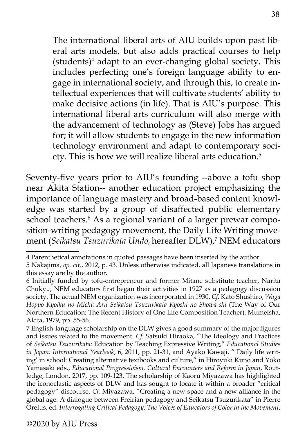The international liberal arts of AIU builds upon past liberal arts models, but also adds practical courses to help (students)4 adapt to an ever-changing global society. This includes perfecting one's foreign language ability to engage in international society, and through this, to create intellectual experiences that will cultivate students' ability to make decisive actions (in life). That is AIU's purpose. This international liberal arts curriculum will also merge with the advancement of technology as (Steve) Jobs has argued for; it will allow students to engage in the new information technology environment and adapt to contemporary society. This is how we will realize liberal arts education.5

Seventy-five years prior to AIU's founding --above a tofu shop near Akita Station-- another education project emphasizing the importance of language mastery and broad-based content knowledge was started by a group of disaffected public elementary school teachers.<sup>6</sup> As a regional variant of a larger prewar composition-writing pedagogy movement, the Daily Life Writing movement (*Seikatsu Tsuzurikata Undo*, hereafter DLW),7 NEM educators

<sup>4</sup> Parenthetical annotations in quoted passages have been inserted by the author.

<sup>5</sup> Nakajima, *op. cit*., 2012, p. 43. Unless otherwise indicated, all Japanese translations in this essay are by the author.

<sup>6</sup> Initially funded by tofu-entrepreneur and former Mitane substitute teacher, Narita Chukyu, NEM educators first began their activities in 1927 as a pedagogy discussion society. The actual NEM organization was incorporated in 1930. *Cf.* Kato Shushiro, *Waga Hoppo Kyoiku no Michi: Aru Seikatsu Tsuzurikata Kyoshi no Showa-shi* (The Way of Our Northern Education: The Recent History of One Life Composition Teacher), Mumeisha, Akita, 1979, pp. 55-56.

<sup>7</sup> English-language scholarship on the DLW gives a good summary of the major figures and issues related to the movement. *Cf.* Satsuki Hiraoka, "The Ideology and Practices of *Seikatsu Tsuzurikata*: Education by Teaching Expressive Writing," *Educational Studies in Japan: International Yearbook*, 6, 2011, pp. 21-31, and Ayako Kawaji, "`Daily life writing' in school: Creating alternative textbooks and culture," in Hiroyuki Kuno and Yoko Yamasaki eds., *Educational Progressivism, Cultural Encounters and Reform in Japan*, Routledge, London, 2017, pp. 109-123. The scholarship of Kaoru Miyazawa has highlighted the iconoclastic aspects of DLW and has sought to locate it within a broader "critical pedagogy" discourse. *Cf.* Miyazawa, "Creating a new space and a new alliance in the global age: A dialogue between Freirian pedagogy and Seikatsu Tsuzurikata" in Pierre Orelus, ed. *Interrogating Critical Pedagogy: The Voices of Educators of Color in the Movement*,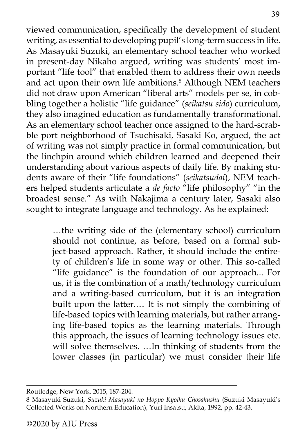viewed communication, specifically the development of student writing, as essential to developing pupil's long-term success in life. As Masayuki Suzuki, an elementary school teacher who worked in present-day Nikaho argued, writing was students' most important "life tool" that enabled them to address their own needs and act upon their own life ambitions.<sup>8</sup> Although NEM teachers did not draw upon American "liberal arts" models per se, in cobbling together a holistic "life guidance" (*seikatsu sido*) curriculum, they also imagined education as fundamentally transformational. As an elementary school teacher once assigned to the hard-scrabble port neighborhood of Tsuchisaki, Sasaki Ko, argued, the act of writing was not simply practice in formal communication, but the linchpin around which children learned and deepened their understanding about various aspects of daily life. By making students aware of their "life foundations" (*seikatsudai*), NEM teachers helped students articulate a *de facto* "life philosophy" "in the broadest sense." As with Nakajima a century later, Sasaki also sought to integrate language and technology. As he explained:

> …the writing side of the (elementary school) curriculum should not continue, as before, based on a formal subject-based approach. Rather, it should include the entirety of children's life in some way or other. This so-called "life guidance" is the foundation of our approach... For us, it is the combination of a math/technology curriculum and a writing-based curriculum, but it is an integration built upon the latter.… It is not simply the combining of life-based topics with learning materials, but rather arranging life-based topics as the learning materials. Through this approach, the issues of learning technology issues etc. will solve themselves. …In thinking of students from the lower classes (in particular) we must consider their life

Routledge, New York, 2015, 187-204.

<sup>8</sup> Masayuki Suzuki, *Suzuki Masayuki no Hoppo Kyoiku Chosakushu* (Suzuki Masayuki's Collected Works on Northern Education), Yuri Insatsu, Akita, 1992, pp. 42-43.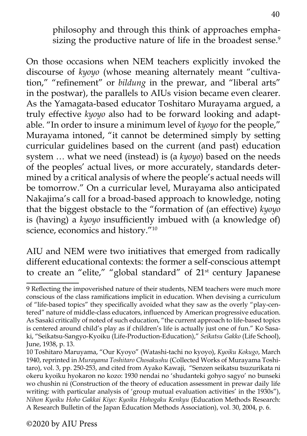philosophy and through this think of approaches emphasizing the productive nature of life in the broadest sense.<sup>9</sup>

On those occasions when NEM teachers explicitly invoked the discourse of *kyoyo* (whose meaning alternately meant "cultivation," "refinement" or *bildung* in the prewar, and "liberal arts" in the postwar), the parallels to AIUs vision became even clearer. As the Yamagata-based educator Toshitaro Murayama argued, a truly effective *kyoyo* also had to be forward looking and adaptable. "In order to insure a minimum level of *kyoyo* for the people," Murayama intoned, "it cannot be determined simply by setting curricular guidelines based on the current (and past) education system … what we need (instead) is (a *kyoyo*) based on the needs of the peoples' actual lives, or more accurately, standards determined by a critical analysis of where the people's actual needs will be tomorrow." On a curricular level, Murayama also anticipated Nakajima's call for a broad-based approach to knowledge, noting that the biggest obstacle to the "formation of (an effective) *kyoyo*  is (having) a *kyoyo* insufficiently imbued with (a knowledge of) science, economics and history."10

AIU and NEM were two initiatives that emerged from radically different educational contexts: the former a self-conscious attempt to create an "elite," "global standard" of 21<sup>st</sup> century Japanese

<sup>9</sup> Reflecting the impoverished nature of their students, NEM teachers were much more conscious of the class ramifications implicit in education. When devising a curriculum of "life-based topics" they specifically avoided what they saw as the overly "play-centered" nature of middle-class educators, influenced by American progressive education. As Sasaki critically of noted of such education, "the current approach to life-based topics is centered around child's play as if children's life is actually just one of fun." Ko Sasaki, "Seikatsu-Sangyo-Kyoiku (Life-Production-Education)," *Seikatsu Gakko* (Life School), June, 1938, p. 13.

<sup>10</sup> Toshitaro Maruyama, "Our Kyoyo" (Watashi-tachi no kyoyo), *Kyoiku Kokugo*, March 1940, reprinted in *Murayama Toshitaro Chosakushu* (Collected Works of Murayama Toshitaro), vol. 3, pp. 250-253, and cited from Ayako Kawaji, "Senzen seikatsu tsuzurikata ni okeru kyoiku hyokaron no kozo: 1930 nendai no 'shudanteki gohyo sagyo' no bunseki wo chushin ni (Construction of the theory of education assessment in prewar daily life writing: with particular analysis of 'group mutual evaluation activities' in the 1930s"), *Nihon Kyoiku Hoho Gakkai Kiyo: Kyoiku Hohogaku Kenkyu* (Education Methods Research: A Research Bulletin of the Japan Education Methods Association), vol. 30, 2004, p. 6.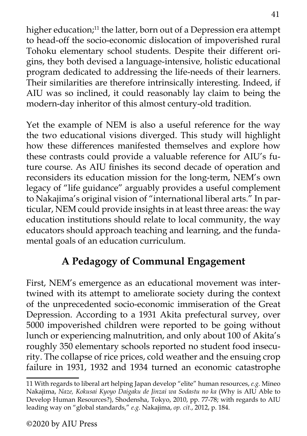higher education;<sup>11</sup> the latter, born out of a Depression era attempt to head-off the socio-economic dislocation of impoverished rural Tohoku elementary school students. Despite their different origins, they both devised a language-intensive, holistic educational program dedicated to addressing the life-needs of their learners. Their similarities are therefore intrinsically interesting. Indeed, if AIU was so inclined, it could reasonably lay claim to being the modern-day inheritor of this almost century-old tradition.

Yet the example of NEM is also a useful reference for the way the two educational visions diverged. This study will highlight how these differences manifested themselves and explore how these contrasts could provide a valuable reference for AIU's future course. As AIU finishes its second decade of operation and reconsiders its education mission for the long-term, NEM's own legacy of "life guidance" arguably provides a useful complement to Nakajima's original vision of "international liberal arts." In particular, NEM could provide insights in at least three areas: the way education institutions should relate to local community, the way educators should approach teaching and learning, and the fundamental goals of an education curriculum.

# **A Pedagogy of Communal Engagement**

First, NEM's emergence as an educational movement was intertwined with its attempt to ameliorate society during the context of the unprecedented socio-economic immiseration of the Great Depression. According to a 1931 Akita prefectural survey, over 5000 impoverished children were reported to be going without lunch or experiencing malnutrition, and only about 100 of Akita's roughly 350 elementary schools reported no student food insecurity. The collapse of rice prices, cold weather and the ensuing crop failure in 1931, 1932 and 1934 turned an economic catastrophe

<sup>11</sup> With regards to liberal art helping Japan develop "elite" human resources, *e.g.* Mineo Nakajima, *Naze, Kokusai Kyoyo Daigaku de Jinzai wa Sodastu no ka* (Why is AIU Able to Develop Human Resources?), Shodensha, Tokyo, 2010, pp. 77-78; with regards to AIU leading way on "global standards," *e.g.* Nakajima, *op. cit.*, 2012, p. 184.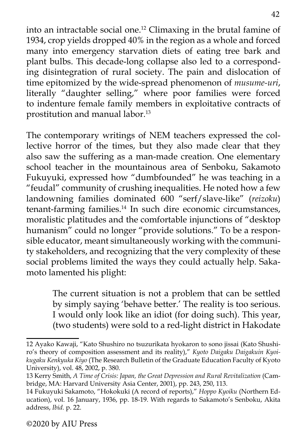into an intractable social one.12 Climaxing in the brutal famine of 1934, crop yields dropped 40% in the region as a whole and forced many into emergency starvation diets of eating tree bark and plant bulbs. This decade-long collapse also led to a corresponding disintegration of rural society. The pain and dislocation of time epitomized by the wide-spread phenomenon of *musume-uri*, literally "daughter selling," where poor families were forced to indenture female family members in exploitative contracts of prostitution and manual labor.13

The contemporary writings of NEM teachers expressed the collective horror of the times, but they also made clear that they also saw the suffering as a man-made creation. One elementary school teacher in the mountainous area of Senboku, Sakamoto Fukuyuki, expressed how "dumbfounded" he was teaching in a "feudal" community of crushing inequalities. He noted how a few landowning families dominated 600 "serf/slave-like" (*reizoku*) tenant-farming families.<sup>14</sup> In such dire economic circumstances, moralistic platitudes and the comfortable injunctions of "desktop humanism" could no longer "provide solutions." To be a responsible educator, meant simultaneously working with the community stakeholders, and recognizing that the very complexity of these social problems limited the ways they could actually help. Sakamoto lamented his plight:

> The current situation is not a problem that can be settled by simply saying 'behave better.' The reality is too serious. I would only look like an idiot (for doing such). This year, (two students) were sold to a red-light district in Hakodate

<sup>12</sup> Ayako Kawaji, "Kato Shushiro no tsuzurikata hyokaron to sono jissai (Kato Shushiro's theory of composition assessment and its reality)," *Kyoto Daigaku Daigakuin Kyoikugaku Kenkyuka Kiyo* (The Research Bulletin of the Graduate Education Faculty of Kyoto University), vol. 48, 2002, p. 380.

<sup>13</sup> Kerry Smith, *A Time of Crisis: Japan, the Great Depression and Rural Revitalization* (Cambridge, MA: Harvard University Asia Center, 2001), pp. 243, 250, 113.

<sup>14</sup> Fukuyuki Sakamoto, "Hokokuki (A record of reports)," *Hoppo Kyoiku* (Northern Education), vol. 16 January, 1936, pp. 18-19. With regards to Sakamoto's Senboku, Akita address, *Ibid.* p. 22.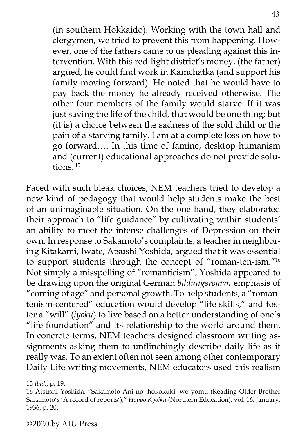(in southern Hokkaido). Working with the town hall and clergymen, we tried to prevent this from happening. However, one of the fathers came to us pleading against this intervention. With this red-light district's money, (the father) argued, he could find work in Kamchatka (and support his family moving forward). He noted that he would have to pay back the money he already received otherwise. The other four members of the family would starve. If it was just saving the life of the child, that would be one thing; but (it is) a choice between the sadness of the sold child or the pain of a starving family. I am at a complete loss on how to go forward…. In this time of famine, desktop humanism and (current) educational approaches do not provide solutions $15$ 

Faced with such bleak choices, NEM teachers tried to develop a new kind of pedagogy that would help students make the best of an unimaginable situation. On the one hand, they elaborated their approach to "life guidance" by cultivating within students' an ability to meet the intense challenges of Depression on their own. In response to Sakamoto's complaints, a teacher in neighboring Kitakami, Iwate, Atsushi Yoshida, argued that it was essential to support students through the concept of "roman-ten-ism."16 Not simply a misspelling of "romanticism", Yoshida appeared to be drawing upon the original German *bildungsroman* emphasis of "coming of age" and personal growth. To help students, a "romantenism-centered" education would develop "life skills," and foster a "will" (*iyoku*) to live based on a better understanding of one's "life foundation" and its relationship to the world around them. In concrete terms, NEM teachers designed classroom writing assignments asking them to unflinchingly describe daily life as it really was*.* To an extent often not seen among other contemporary Daily Life writing movements, NEM educators used this realism

<sup>15</sup> *Ibid.*, p. 19.

<sup>16</sup> Atsushi Yoshida, "Sakamoto Ani no' hokokuki' wo yomu (Reading Older Brother Sakamoto's 'A record of reports')," *Hoppo Kyoiku* (Northern Education), vol. 16, January, 1936, p. 20.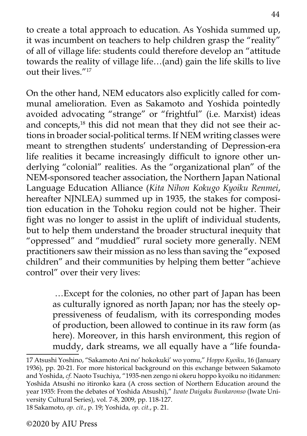to create a total approach to education. As Yoshida summed up, it was incumbent on teachers to help children grasp the "reality" of all of village life: students could therefore develop an "attitude towards the reality of village life…(and) gain the life skills to live out their lives<sup>"17</sup>

On the other hand, NEM educators also explicitly called for communal amelioration. Even as Sakamoto and Yoshida pointedly avoided advocating "strange" or "frightful" (i.e. Marxist) ideas and concepts,<sup>18</sup> this did not mean that they did not see their actions in broader social-political terms. If NEM writing classes were meant to strengthen students' understanding of Depression-era life realities it became increasingly difficult to ignore other underlying "colonial" realities. As the "organizational plan" of the NEM-sponsored teacher association, the Northern Japan National Language Education Alliance (*Kita Nihon Kokugo Kyoiku Renmei*, hereafter NJNLEA*)* summed up in 1935, the stakes for composition education in the Tohoku region could not be higher. Their fight was no longer to assist in the uplift of individual students, but to help them understand the broader structural inequity that "oppressed" and "muddied" rural society more generally. NEM practitioners saw their mission as no less than saving the "exposed children" and their communities by helping them better "achieve control" over their very lives:

> …Except for the colonies, no other part of Japan has been as culturally ignored as north Japan; nor has the steely oppressiveness of feudalism, with its corresponding modes of production, been allowed to continue in its raw form (as here). Moreover, in this harsh environment, this region of muddy, dark streams, we all equally have a "life founda-

<sup>17</sup> Atsushi Yoshino, "Sakamoto Ani no' hokokuki' wo yomu," *Hoppo Kyoiku*, 16 (January 1936), pp. 20-21. For more historical background on this exchange between Sakamoto and Yoshida, *cf.* Naoto Tsuchiya, "1935-nen zengo ni okeru hoppo kyoiku no itidanmen: Yoshida Atsushi no itironko kara (A cross section of Northern Education around the year 1935: From the debates of Yoshida Atsushi)," *Iwate Daigaku Bunkaronso* (Iwate University Cultural Series), vol. 7-8, 2009, pp. 118-127. 18 Sakamoto, *op. cit.*, p. 19; Yoshida, *op. cit.*, p. 21.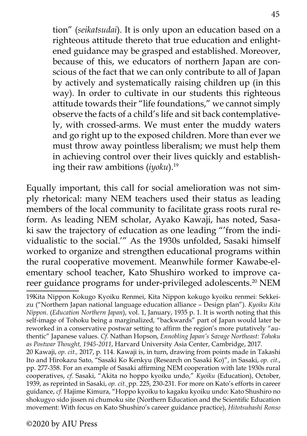tion" (*seikatsudai*). It is only upon an education based on a righteous attitude thereto that true education and enlightened guidance may be grasped and established. Moreover, because of this, we educators of northern Japan are conscious of the fact that we can only contribute to all of Japan by actively and systematically raising children up (in this way). In order to cultivate in our students this righteous attitude towards their "life foundations," we cannot simply observe the facts of a child's life and sit back contemplatively, with crossed-arms. We must enter the muddy waters and go right up to the exposed children. More than ever we must throw away pointless liberalism; we must help them in achieving control over their lives quickly and establishing their raw ambitions (*iyoku*).<sup>19</sup>

Equally important, this call for social amelioration was not simply rhetorical: many NEM teachers used their status as leading members of the local community to facilitate grass roots rural reform. As leading NEM scholar, Ayako Kawaji, has noted, Sasaki saw the trajectory of education as one leading "'from the individualistic to the social.'" As the 1930s unfolded, Sasaki himself worked to organize and strengthen educational programs within the rural cooperative movement. Meanwhile former Kawabe-elementary school teacher, Kato Shushiro worked to improve career guidance programs for under-privileged adolescents.<sup>20</sup> NEM

20 Kawaji, *op. cit.,* 2017, p. 114. Kawaji is, in turn, drawing from points made in Takashi Ito and Hirokazu Sato, "Sasaki Ko Kenkyu (Research on Sasaki Ko)", in Sasaki, *op. cit.*, pp. 277-358. For an example of Sasaki affirming NEM cooperation with late 1930s rural cooperatives, *cf.* Sasaki, "Akita no hoppo kyoiku undo," *Kyoiku* (Education), October, 1939, as reprinted in Sasaki, *op. cit.¸*pp. 225, 230-231. For more on Kato's efforts in career guidance, *cf.* Hajime Kimura, "Hoppo kyoiku to kagaku kyoiku undo: Kato Shushiro no shokugyo sido jissen ni chumoku site (Northern Education and the Scientific Education movement: With focus on Kato Shushiro's career guidance practice), *Hitotsubashi Ronso*

<sup>19</sup>Kita Nippon Kokugo Kyoiku Renmei, Kita Nippon kokugo kyoiku renmei: Sekkeizu ("Northern Japan national language education alliance – Design plan"). *Kyoiku Kita Nippon.* (*Education Northern Japan*), vol. 1, January, 1935 p. 1. It is worth noting that this self-image of Tohoku being a marginalized, "backwards" part of Japan would later be reworked in a conservative postwar setting to affirm the region's more putatively "authentic" Japanese values. *Cf.* Nathan Hopson, *Ennobling Japan's Savage Northeast: Tohoku as Postwar Thought, 1945-2011*, Harvard University Asia Center, Cambridge, 2017.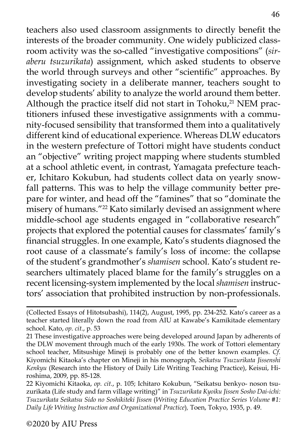teachers also used classroom assignments to directly benefit the interests of the broader community. One widely publicized classroom activity was the so-called "investigative compositions" (*siraberu tsuzurikata*) assignment, which asked students to observe the world through surveys and other "scientific" approaches. By investigating society in a deliberate manner, teachers sought to develop students' ability to analyze the world around them better. Although the practice itself did not start in Tohoku, $21$  NEM practitioners infused these investigative assignments with a community-focused sensibility that transformed them into a qualitatively different kind of educational experience. Whereas DLW educators in the western prefecture of Tottori might have students conduct an "objective" writing project mapping where students stumbled at a school athletic event, in contrast, Yamagata prefecture teacher, Ichitaro Kokubun, had students collect data on yearly snowfall patterns. This was to help the village community better prepare for winter, and head off the "famines" that so "dominate the misery of humans."22 Kato similarly devised an assignment where middle-school age students engaged in "collaborative research" projects that explored the potential causes for classmates' family's financial struggles. In one example, Kato's students diagnosed the root cause of a classmate's family's loss of income: the collapse of the student's grandmother's *shamisen* school. Kato's student researchers ultimately placed blame for the family's struggles on a recent licensing-system implemented by the local *shamisen* instructors' association that prohibited instruction by non-professionals.

<sup>(</sup>Collected Essays of Hitotsubashi), 114(2), August, 1995, pp. 234-252. Kato's career as a teacher started literally down the road from AIU at Kawabe's Kamikitade elementary school. Kato, *op. cit.*, p. 53

<sup>21</sup> These investigative approaches were being developed around Japan by adherents of the DLW movement through much of the early 1930s. The work of Tottori elementary school teacher, Mitsushige Mineji is probably one of the better known examples. *Cf.*  Kiyomichi Kitaoka's chapter on Mineji in his monograph, *Seikatsu Tsuzurikata Jissenshi Kenkyu* (Research into the History of Daily Life Writing Teaching Practice), Keisui, Hiroshima, 2009, pp. 85-128.

<sup>22</sup> Kiyomichi Kitaoka, *op. cit.*, p. 105; Ichitaro Kokubun, "Seikatsu benkyo- noson tsuzurikata (Life study and farm village writing)" in *Tsuzurikata Kyoiku Jissen Sosho Dai-ichi: Tsuzurikata Seikatsu Sido no Soshikiteki Jissen* (*Writing Education Practice Series Volume #1: Daily Life Writing Instruction and Organizational Practice*)*,* Toen, Tokyo, 1935, p. 49.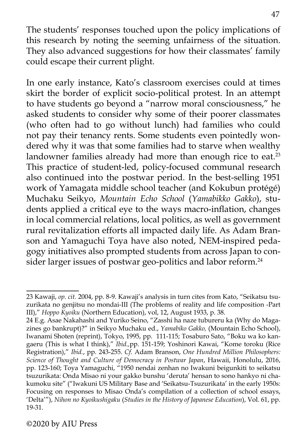The students' responses touched upon the policy implications of this research by noting the seeming unfairness of the situation. They also advanced suggestions for how their classmates' family could escape their current plight.

In one early instance, Kato's classroom exercises could at times skirt the border of explicit socio-political protest. In an attempt to have students go beyond a "narrow moral consciousness," he asked students to consider why some of their poorer classmates (who often had to go without lunch) had families who could not pay their tenancy rents. Some students even pointedly wondered why it was that some families had to starve when wealthy landowner families already had more than enough rice to eat.<sup>23</sup> This practice of student-led, policy-focused communal research also continued into the postwar period. In the best-selling 1951 work of Yamagata middle school teacher (and Kokubun protégé) Muchaku Seikyo, *Mountain Echo School* (*Yamabikko Gakko*), students applied a critical eye to the ways macro-inflation, changes in local commercial relations, local politics, as well as government rural revitalization efforts all impacted daily life. As Adam Branson and Yamaguchi Toya have also noted, NEM-inspired pedagogy initiatives also prompted students from across Japan to consider larger issues of postwar geo-politics and labor reform.<sup>24</sup>

<sup>23</sup> Kawaji, *op. cit.* 2004, pp. 8-9. Kawaji's analysis in turn cites from Kato, "Seikatsu tsuzurikata no genjitsu no mondai-III (The problems of reality and life composition -Part III)," *Hoppo Kyoiku* (Northern Education), vol, 12, August 1933, p. 38.

<sup>24</sup> E.g. Asae Nakahashi and Yuriko Seino, "Zasshi ha naze tubureru ka (Why do Magazines go bankrupt)?" in Seikyo Muchaku ed., *Yamabiko Gakko,* (Mountain Echo School), Iwanami Shoten (reprint), Tokyo, 1995, pp. 111-115; Tosaburo Sato, "Boku wa ko kangaeru (This is what I think)," *Ibid.,*pp. 151-159; Yoshinori Kawai, "Kome toroku (Rice Registration)," *Ibid.*, pp. 243-255. *Cf.* Adam Branson, *One Hundred Million Philosophers: Science of Thought and Culture of Democracy in Postwar Japan*, Hawaii, Honolulu, 2016, pp. 123-160; Toya Yamaguchi, "1950 nendai zenhan no Iwakuni beigunkiti to seikatsu tsuzurikata: Onda Misao ni your gakko bunshu 'deruta' hensan to sono hankyo ni chakumoku site" ("Iwakuni US Military Base and 'Seikatsu-Tsuzurikata' in the early 1950s: Focusing on responses to Misao Onda's compilation of a collection of school essays, 'Delta'"), *Nihon no Kyoikushigaku* (*Studies in the History of Japanese Education*), Vol. 61, pp. 19-31.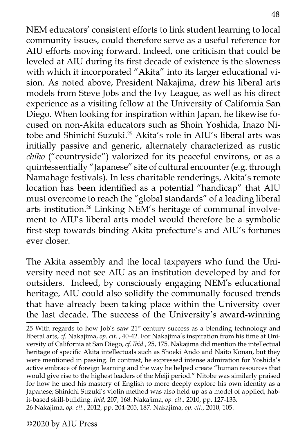NEM educators' consistent efforts to link student learning to local community issues, could therefore serve as a useful reference for AIU efforts moving forward. Indeed, one criticism that could be leveled at AIU during its first decade of existence is the slowness with which it incorporated "Akita" into its larger educational vision. As noted above, President Nakajima, drew his liberal arts models from Steve Jobs and the Ivy League, as well as his direct experience as a visiting fellow at the University of California San Diego. When looking for inspiration within Japan, he likewise focused on non-Akita educators such as Shoin Yoshida, Inazo Nitobe and Shinichi Suzuki.25 Akita's role in AIU's liberal arts was initially passive and generic, alternately characterized as rustic *chiho* ("countryside") valorized for its peaceful environs, or as a quintessentially "Japanese" site of cultural encounter (e.g. through Namahage festivals). In less charitable renderings, Akita's remote location has been identified as a potential "handicap" that AIU must overcome to reach the "global standards" of a leading liberal arts institution.26 Linking NEM's heritage of communal involvement to AIU's liberal arts model would therefore be a symbolic first-step towards binding Akita prefecture's and AIU's fortunes ever closer.

The Akita assembly and the local taxpayers who fund the University need not see AIU as an institution developed by and for outsiders. Indeed, by consciously engaging NEM's educational heritage, AIU could also solidify the communally focused trends that have already been taking place within the University over the last decade. The success of the University's award-winning

<sup>25</sup> With regards to how Job's saw 21<sup>st</sup> century success as a blending technology and liberal arts, *cf.* Nakajima, *op. cit.* , 40-42. For Nakajima's inspiration from his time at University of California at San Diego, *cf. Ibid*., 25, 175. Nakajima did mention the intellectual heritage of specific Akita intellectuals such as Shoeki Ando and Naito Konan, but they were mentioned in passing. In contrast, he expressed intense admiration for Yoshida's active embrace of foreign learning and the way he helped create "human resources that would give rise to the highest leaders of the Meiji period." Nitobe was similarly praised for how he used his mastery of English to more deeply explore his own identity as a Japanese; Shinichi Suzuki's violin method was also held up as a model of applied, habit-based skill-building. *Ibid,* 207, 168. Nakajima, *op. cit.,* 2010, pp. 127-133. 26 Nakajima, *op. cit.*, 2012, pp. 204-205, 187. Nakajima, *op. cit.*, 2010, 105.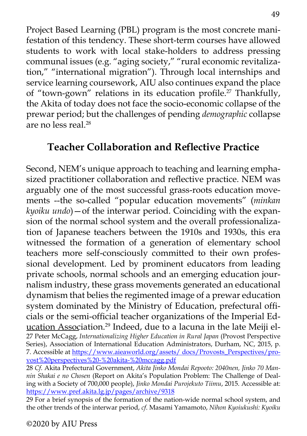Project Based Learning (PBL) program is the most concrete manifestation of this tendency. These short-term courses have allowed students to work with local stake-holders to address pressing communal issues (e.g. "aging society," "rural economic revitalization," "international migration"). Through local internships and service learning coursework, AIU also continues expand the place of "town-gown" relations in its education profile.<sup>27</sup> Thankfully, the Akita of today does not face the socio-economic collapse of the prewar period; but the challenges of pending *demographic* collapse are no less real.28

# **Teacher Collaboration and Reflective Practice**

Second, NEM's unique approach to teaching and learning emphasized practitioner collaboration and reflective practice. NEM was arguably one of the most successful grass-roots education movements --the so-called "popular education movements" (*minkan kyoiku undo*)—of the interwar period. Coinciding with the expansion of the normal school system and the overall professionalization of Japanese teachers between the 1910s and 1930s, this era witnessed the formation of a generation of elementary school teachers more self-consciously committed to their own professional development. Led by prominent educators from leading private schools, normal schools and an emerging education journalism industry, these grass movements generated an educational dynamism that belies the regimented image of a prewar education system dominated by the Ministry of Education, prefectural officials or the semi-official teacher organizations of the Imperial Education Association.<sup>29</sup> Indeed, due to a lacuna in the late Meiji el-27 Peter McCagg, *Internationalizing Higher Education in Rural Japan* (Provost Perspective Series), Association of International Education Administrators, Durham, NC, 2015, p. 7. Accessible at [https://www.aieaworld.org/assets/ docs/Provosts\\_Perspectives/pro](https://www.aieaworld.org/assets/%20docs/Provosts_Perspectives/provost%20perspectives%20-%20akita-%20mccagg.pdf)[vost%20perspectives%20-%20akita-%20mccagg.pdf](https://www.aieaworld.org/assets/%20docs/Provosts_Perspectives/provost%20perspectives%20-%20akita-%20mccagg.pdf)

28 *Cf.* Akita Prefectural Government, *Akita Jinko Mondai Repooto: 2040nen, Jinko 70 Mannin Shakai e no Chosen* (Report on Akita's Population Problem: The Challenge of Dealing with a Society of 700,000 people), *Jinko Mondai Purojekuto Tiimu*, 2015. Accessible at: <https://www.pref.akita.lg.jp/pages/archive/9318>

29 For a brief synopsis of the formation of the nation-wide normal school system, and the other trends of the interwar period, *cf*. Masami Yamamoto, *Nihon Kyoiukushi: Kyoiku*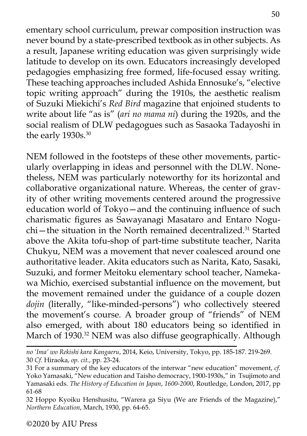ementary school curriculum, prewar composition instruction was never bound by a state-prescribed textbook as in other subjects. As a result, Japanese writing education was given surprisingly wide latitude to develop on its own. Educators increasingly developed pedagogies emphasizing free formed, life-focused essay writing. These teaching approaches included Ashida Ennosuke's, "elective topic writing approach" during the 1910s, the aesthetic realism of Suzuki Miekichi's *Red Bird* magazine that enjoined students to write about life "as is" (*ari no mama ni*) during the 1920s, and the social realism of DLW pedagogues such as Sasaoka Tadayoshi in the early 1930s.<sup>30</sup>

NEM followed in the footsteps of these other movements, particularly overlapping in ideas and personnel with the DLW. Nonetheless, NEM was particularly noteworthy for its horizontal and collaborative organizational nature. Whereas, the center of gravity of other writing movements centered around the progressive education world of Tokyo—and the continuing influence of such charismatic figures as Sawayanagi Masataro and Entaro Nogu- $\chi$ chi—the situation in the North remained decentralized.<sup>31</sup> Started above the Akita tofu-shop of part-time substitute teacher, Narita Chukyu, NEM was a movement that never coalesced around one authoritative leader. Akita educators such as Narita, Kato, Sasaki, Suzuki, and former Meitoku elementary school teacher, Namekawa Michio, exercised substantial influence on the movement, but the movement remained under the guidance of a couple dozen *dojin* (literally, "like-minded-persons") who collectively steered the movement's course*.* A broader group of "friends" of NEM also emerged, with about 180 educators being so identified in March of 1930.<sup>32</sup> NEM was also diffuse geographically. Although

*no 'Ima' wo Rekishi kara Kangaeru*, 2014, Keio, University, Tokyo, pp. 185-187. 219-269. 30 *Cf.* Hiraoka, *op. cit.*, pp. 23-24.

<sup>31</sup> For a summary of the key educators of the interwar "new education" movement, *cf.*  Yoko Yamasaki, "New education and Taisho democracy, 1900-1930s," in Tsujimoto and Yamasaki eds. *The History of Education in Japan*, *1600-2000*, Routledge, London, 2017, pp 61-68

<sup>32</sup> Hoppo Kyoiku Henshusitu, "Warera ga Siyu (We are Friends of the Magazine)," *Northern Education*, March, 1930, pp. 64-65.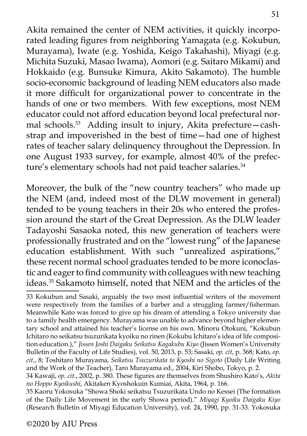Akita remained the center of NEM activities, it quickly incorporated leading figures from neighboring Yamagata (e.g. Kokubun, Murayama), Iwate (e.g. Yoshida, Keigo Takahashi), Miyagi (e.g. Michita Suzuki, Masao Iwama), Aomori (e.g. Saitaro Mikami) and Hokkaido (e.g. Bunsuke Kimura, Akito Sakamoto). The humble socio-economic background of leading NEM educators also made it more difficult for organizational power to concentrate in the hands of one or two members. With few exceptions, most NEM educator could not afford education beyond local prefectural normal schools.<sup>33</sup> Adding insult to injury, Akita prefecture—cashstrap and impoverished in the best of time—had one of highest rates of teacher salary delinquency throughout the Depression. In one August 1933 survey, for example, almost 40% of the prefecture's elementary schools had not paid teacher salaries.<sup>34</sup>

Moreover, the bulk of the "new country teachers" who made up the NEM (and, indeed most of the DLW movement in general) tended to be young teachers in their 20s who entered the profession around the start of the Great Depression. As the DLW leader Tadayoshi Sasaoka noted, this new generation of teachers were professionally frustrated and on the "lowest rung" of the Japanese education establishment. With such "unrealized aspirations," these recent normal school graduates tended to be more iconoclastic and eager to find community with colleagues with new teaching ideas.35 Sakamoto himself, noted that NEM and the articles of the

<sup>33</sup> Kokubun and Sasaki, arguably the two most influential writers of the movement were respectively from the families of a barber and a struggling farmer/fisherman. Meanwhile Kato was forced to give up his dream of attending a Tokyo university due to a family health emergency. Murayama was unable to advance beyond higher elementary school and attained his teacher's license on his own. Minoru Otokuni, "Kokubun Ichitaro no seikatsu tsuzurikata kyoiku no rinen (Kokubu Ichitaro's idea of life composition education.)," *Jissen Joshi Daigaku Seikatsu Kagakubu Kiyo* (Jissen Women's University Bulletin of the Faculty of Life Studies), vol. 50, 2013, p. 53; Sasaki, *op. cit*, p. 368; Kato, *op. cit.*, 8; Toshitaro Murayama, *Seikatsu Tsuzurikata to Kyoshi no Sigoto* (Daily Life Writing and the Work of the Teacher), Taro Murayama ed., 2004, Kiri Shobo, Tokyo, p. 2.

<sup>34</sup> Kawaji, *op. cit.*, 2002, p. 380. These figures are themselves from Shushiro Kato's, *Akita no Hoppo Kyoikushi*, Akitaken Kyoshokuin Kumiai, Akita, 1964, p. 166.

<sup>35</sup> Kaoru Yokosuka "Showa Shoki seikatsu Tsuzurikata Undo no Kessei (The formation of the Daily Life Movement in the early Showa period)." *Miyagi Kyoiku Daigaku Kiyo*  (Research Bulletin of Miyagi Education University), vol. 24, 1990, pp. 31-33. Yokosuka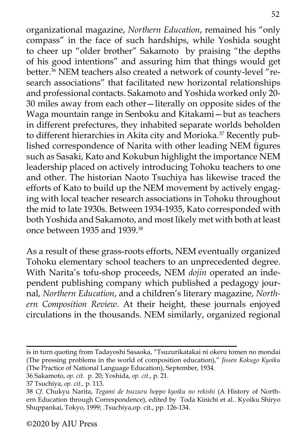organizational magazine, *Northern Education*, remained his "only compass" in the face of such hardships, while Yoshida sought to cheer up "older brother" Sakamoto by praising "the depths of his good intentions" and assuring him that things would get better.<sup>36</sup> NEM teachers also created a network of county-level "research associations" that facilitated new horizontal relationships and professional contacts. Sakamoto and Yoshida worked only 20- 30 miles away from each other—literally on opposite sides of the Waga mountain range in Senboku and Kitakami—but as teachers in different prefectures, they inhabited separate worlds beholden to different hierarchies in Akita city and Morioka.<sup>37</sup> Recently published correspondence of Narita with other leading NEM figures such as Sasaki, Kato and Kokubun highlight the importance NEM leadership placed on actively introducing Tohoku teachers to one and other. The historian Naoto Tsuchiya has likewise traced the efforts of Kato to build up the NEM movement by actively engaging with local teacher research associations in Tohoku throughout the mid to late 1930s. Between 1934-1935, Kato corresponded with both Yoshida and Sakamoto, and most likely met with both at least once between 1935 and 1939.<sup>38</sup>

As a result of these grass-roots efforts, NEM eventually organized Tohoku elementary school teachers to an unprecedented degree. With Narita's tofu-shop proceeds, NEM *dojin* operated an independent publishing company which published a pedagogy journal, *Northern Education*, and a children's literary magazine, *Northern Composition Review*. At their height, these journals enjoyed circulations in the thousands. NEM similarly, organized regional

is in turn quoting from Tadayoshi Sasaoka, "Tsuzurikatakai ni okeru tomen no mondai (The pressing problems in the world of composition education)," *Jissen Kokugo Kyoiku* (The Practice of National Language Education), September, 1934.

<sup>36</sup> Sakamoto, *op. cit.* p. 20; Yoshida, *op. cit.*, p. 21.

<sup>37</sup> Tsuchiya, *op. cit.,* p. 113.

<sup>38</sup> *Cf.* Chukyu Narita, *Tegami de tsuzuru hoppo kyoiku no rekishi* (A History of Northern Education through Correspondence), edited by Toda Kinichi et al.. Kyoiku Shiryo Shuppankai, Tokyo, 1999; .Tsuchiya,op. cit., pp. 126-134.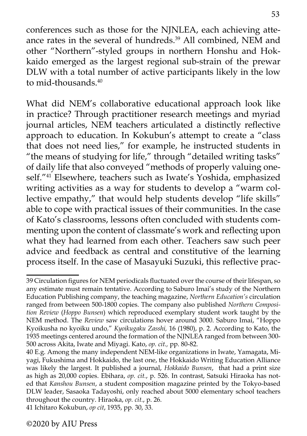conferences such as those for the NJNLEA, each achieving atteance rates in the several of hundreds.<sup>39</sup> All combined, NEM and other "Northern"-styled groups in northern Honshu and Hokkaido emerged as the largest regional sub-strain of the prewar DLW with a total number of active participants likely in the low to mid-thousands.40

What did NEM's collaborative educational approach look like in practice? Through practitioner research meetings and myriad journal articles, NEM teachers articulated a distinctly reflective approach to education. In Kokubun's attempt to create a "class that does not need lies," for example, he instructed students in "the means of studying for life," through "detailed writing tasks" of daily life that also conveyed "methods of properly valuing oneself."41 Elsewhere, teachers such as Iwate's Yoshida, emphasized writing activities as a way for students to develop a "warm collective empathy," that would help students develop "life skills" able to cope with practical issues of their communities. In the case of Kato's classrooms, lessons often concluded with students commenting upon the content of classmate's work and reflecting upon what they had learned from each other. Teachers saw such peer advice and feedback as central and constitutive of the learning process itself. In the case of Masayuki Suzuki, this reflective prac-

<sup>39</sup> Circulation figures for NEM periodicals fluctuated over the course of their lifespan, so any estimate must remain tentative. According to Saburo Imai's study of the Northern Education Publishing company, the teaching magazine, *Northern Education's* circulation ranged from between 500-1800 copies. The company also published *Northern Composition Review* (*Hoppo Bunsen*) which reproduced exemplary student work taught by the NEM method. The *Review* saw circulations hover around 3000. Saburo Imai, "Hoppo Kyoikusha no kyoiku undo," *Kyoikugaku Zasshi,* 16 (1980), p. 2. According to Kato, the 1935 meetings centered around the formation of the NJNLEA ranged from between 300- 500 across Akita, Iwate and Miyagi. Kato, *op. cit.,* pp. 80-82.

<sup>40</sup> E.g. Among the many independent NEM-like organizations in Iwate, Yamagata, Miyagi, Fukushima and Hokkaido, the last one, the Hokkaido Writing Education Alliance was likely the largest. It published a journal, *Hokkaido Bunsen*, that had a print size as high as 20,000 copies. Ebihara, *op. cit.*, p. 526. In contrast, Satsuki Hiraoka has noted that *Kanshou Bunsen*, a student composition magazine printed by the Tokyo-based DLW leader, Sasaoka Tadayoshi, only reached about 5000 elementary school teachers throughout the country. Hiraoka, *op. cit.*, p. 26. 41 Ichitaro Kokubun, *op cit*, 1935, pp. 30, 33.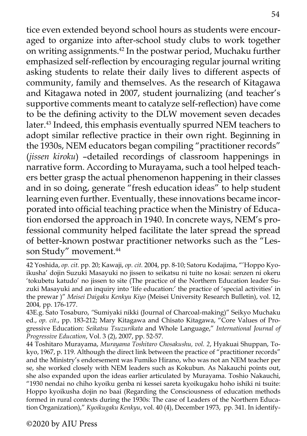tice even extended beyond school hours as students were encouraged to organize into after-school study clubs to work together on writing assignments.42 In the postwar period, Muchaku further emphasized self-reflection by encouraging regular journal writing asking students to relate their daily lives to different aspects of community, family and themselves. As the research of Kitagawa and Kitagawa noted in 2007, student journalizing (and teacher's supportive comments meant to catalyze self-reflection) have come to be the defining activity to the DLW movement seven decades later.<sup>43</sup> Indeed, this emphasis eventually spurred NEM teachers to adopt similar reflective practice in their own right. Beginning in the 1930s, NEM educators began compiling "practitioner records" (*jissen kiroku*) –detailed recordings of classroom happenings in narrative form. According to Murayama, such a tool helped teachers better grasp the actual phenomenon happening in their classes and in so doing, generate "fresh education ideas" to help student learning even further. Eventually, these innovations became incorporated into official teaching practice when the Ministry of Education endorsed the approach in 1940. In concrete ways, NEM's professional community helped facilitate the later spread the spread of better-known postwar practitioner networks such as the "Lesson Study" movement.<sup>44</sup>

<sup>42</sup> Yoshida, *op. cit.* pp. 20; Kawaji, *op. cit.* 2004, pp. 8-10; Satoru Kodajima, "'Hoppo Kyoikusha' dojin Suzuki Masayuki no jissen to seikatsu ni tuite no kosai: senzen ni okeru 'tokubetu katudo' no jissen to site (The practice of the Northern Education leader Suzuki Masayuki and an inquiry into 'life education:' the practice of 'special activities' in the prewar )" *Meisei Daigaku Kenkyu Kiyo* (Meisei University Research Bulletin), vol. 12, 2004*,* pp. 176-177.

<sup>43</sup>E.g. Sato Tosaburo, *"*Sumiyaki nikki (Journal of Charcoal-making)" Seikyo Muchaku ed., *op. cit.*, pp. 183-212; Mary Kitagawa and Chisato Kitagawa, "Core Values of Progressive Education: *Seikatsu Tsuzurikata* and Whole Language," *International Journal of Progressive Education*, Vol. 3 (2), 2007, pp. 52-57.

<sup>44</sup> Toshitaro Murayama, *Murayama Toshitaro Chosakushu, vol. 2*, Hyakuai Shuppan, Tokyo, 1967, p. 119. Although the direct link between the practice of "practitioner records" and the Ministry's endorsement was Fumiko Hirano, who was not an NEM teacher per se, she worked closely with NEM leaders such as Kokubun. As Nakauchi points out, she also expanded upon the ideas earlier articulated by Murayama. Toshio Nakauchi, "1930 nendai no chiho kyoiku genba ni kessei sareta kyoikugaku hoho ishiki ni tsuite: Hoppo kyoikusha dojin no baai (Regarding the Consciousness of education methods formed in rural contexts during the 1930s: The case of Leaders of the Northern Education Organization)," *Kyoikugaku Kenkyu*, vol. 40 (4), December 1973, pp. 341. In identify-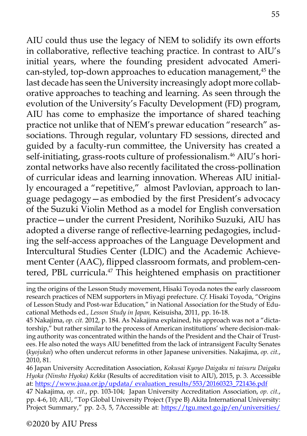AIU could thus use the legacy of NEM to solidify its own efforts in collaborative, reflective teaching practice. In contrast to AIU's initial years, where the founding president advocated American-styled, top-down approaches to education management,<sup>45</sup> the last decade has seen the University increasingly adopt more collaborative approaches to teaching and learning. As seen through the evolution of the University's Faculty Development (FD) program, AIU has come to emphasize the importance of shared teaching practice not unlike that of NEM's prewar education "research" associations. Through regular, voluntary FD sessions, directed and guided by a faculty-run committee, the University has created a self-initiating, grass-roots culture of professionalism.<sup>46</sup> AIU's horizontal networks have also recently facilitated the cross-pollination of curricular ideas and learning innovation. Whereas AIU initially encouraged a "repetitive," almost Pavlovian, approach to language pedagogy—as embodied by the first President's advocacy of the Suzuki Violin Method as a model for English conversation practice—under the current President, Norihiko Suzuki, AIU has adopted a diverse range of reflective-learning pedagogies, including the self-access approaches of the Language Development and Intercultural Studies Center (LDIC) and the Academic Achievement Center (AAC), flipped classroom formats, and problem-centered, PBL curricula.<sup>47</sup> This heightened emphasis on practitioner

46 Japan University Accreditation Association, *Kokusai Kyoyo Daigaku ni taisuru Daigaku Hyoka (Ninsho Hyoka) Kekka* (Results of accreditation visit to AIU), 2015, p. 3. Accessible at: [https://www.juaa.or.jp/updata/ evaluation\\_results/553/20160323\\_721436.pdf](https://www.juaa.or.jp/updata/%20evaluation_results/553/20160323_721436.pdf)

47 Nakajima, *op. cit.*, pp. 103-104; Japan University Accreditation Association, *op. cit.*, pp. 4-6, 10; AIU, "Top Global University Project (Type B) Akita International University: Project Summary," pp. 2-3, 5, 7Accessible at: [https://tgu.mext.go.jp/en/universities/](https://tgu.mext.go.jp/en/universities/aiu/pdf/chosho.pdf)

ing the origins of the Lesson Study movement, Hisaki Toyoda notes the early classroom research practices of NEM supporters in Miyagi prefecture. *Cf.* Hisaki Toyoda, "Origins of Lesson Study and Post-war Education," in National Association for the Study of Educational Methods ed., *Lesson Study in Japan,* Keisuisha, 2011, pp. 16-18.

<sup>45</sup> Nakajima, *op. cit.* 2012, p. 184. As Nakajima explained, his approach was not a "dictatorship," but rather similar to the process of American institutions' where decision-making authority was concentrated within the hands of the President and the Chair of Trustees. He also noted the ways AIU benefitted from the lack of intransigent Faculty Senates (*kyojukai*) who often undercut reforms in other Japanese universities. Nakajima, *op. cit.*, 2010, 81.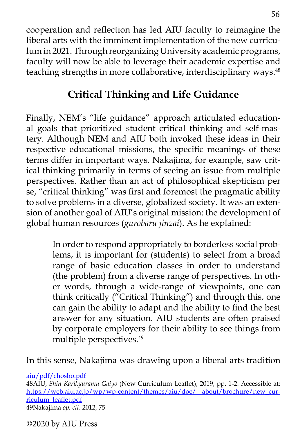cooperation and reflection has led AIU faculty to reimagine the liberal arts with the imminent implementation of the new curriculum in 2021. Through reorganizing University academic programs, faculty will now be able to leverage their academic expertise and teaching strengths in more collaborative, interdisciplinary ways.<sup>48</sup>

# **Critical Thinking and Life Guidance**

Finally, NEM's "life guidance" approach articulated educational goals that prioritized student critical thinking and self-mastery. Although NEM and AIU both invoked these ideas in their respective educational missions, the specific meanings of these terms differ in important ways. Nakajima, for example, saw critical thinking primarily in terms of seeing an issue from multiple perspectives. Rather than an act of philosophical skepticism per se, "critical thinking" was first and foremost the pragmatic ability to solve problems in a diverse, globalized society. It was an extension of another goal of AIU's original mission: the development of global human resources (*gurobaru jinzai*). As he explained:

> In order to respond appropriately to borderless social problems, it is important for (students) to select from a broad range of basic education classes in order to understand (the problem) from a diverse range of perspectives. In other words, through a wide-range of viewpoints, one can think critically ("Critical Thinking") and through this, one can gain the ability to adapt and the ability to find the best answer for any situation. AIU students are often praised by corporate employers for their ability to see things from multiple perspectives.<sup>49</sup>

In this sense, Nakajima was drawing upon a liberal arts tradition

[aiu/pdf/chosho.pdf](https://tgu.mext.go.jp/en/universities/aiu/pdf/chosho.pdf) 48AIU, *Shin Karikyuramu Gaiyo* (New Curriculum Leaflet), 2019, pp. 1-2. Accessible at: [https://web.aiu.ac.jp/wp/wp-content/themes/aiu/doc/ about/brochure/new\\_cur](https://web.aiu.ac.jp/wp/wp-content/themes/aiu/doc/%20about/brochure/new_curriculum_leaflet.pdf)[riculum\\_leaflet.pdf](https://web.aiu.ac.jp/wp/wp-content/themes/aiu/doc/%20about/brochure/new_curriculum_leaflet.pdf) 49Nakajima *op. cit*. 2012, 75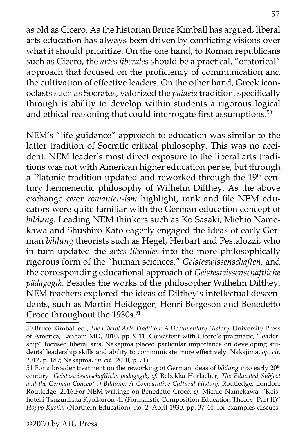as old as Cicero. As the historian Bruce Kimball has argued, liberal arts education has always been driven by conflicting visions over what it should prioritize. On the one hand, to Roman republicans such as Cicero, the *artes liberales* should be a practical, "oratorical" approach that focused on the proficiency of communication and the cultivation of effective leaders. On the other hand, Greek iconoclasts such as Socrates, valorized the *paideia* tradition, specifically through is ability to develop within students a rigorous logical and ethical reasoning that could interrogate first assumptions.<sup>50</sup>

NEM's "life guidance" approach to education was similar to the latter tradition of Socratic critical philosophy. This was no accident. NEM leader's most direct exposure to the liberal arts traditions was not with American higher education per se, but through a Platonic tradition updated and reworked through the 19<sup>th</sup> century hermeneutic philosophy of Wilhelm Dilthey. As the above exchange over *romanten-ism* highlight, rank and file NEM educators were quite familiar with the German education concept of *bildung.* Leading NEM thinkers such as Ko Sasaki, Michio Namekawa and Shushiro Kato eagerly engaged the ideas of early German *bildung* theorists such as Hegel, Herbart and Pestalozzi, who in turn updated the *artes liberales* into the more philosophically rigorous form of the "human sciences." *Geisteswissenschaften,* and the corresponding educational approach of *Geisteswissenschaftliche pädagogik*. Besides the works of the philosopher Wilhelm Dilthey, NEM teachers explored the ideas of Dilthey's intellectual descendants, such as Martin Heidegger, Henri Bergeson and Benedetto Croce throughout the 1930s.<sup>51</sup>

<sup>50</sup> Bruce Kimball ed., *The Liberal Arts Tradition: A Documentary History*, University Press of America, Lanham MD, 2010, pp. 9-11. Consistent with Cicero's pragmatic, "leadership" focused liberal arts, Nakajima placed particular importance on developing students' leadership skills and ability to communicate more effectively. Nakajima, *op. cit.*  2012, p. 189; Nakajima, *op. cit.* 2010, p. 71).

<sup>51</sup> For a broader treatment on the reworking of German ideas of *bildung* into early 20<sup>th</sup> century *Geisteswissenschaftliche pädagogik*, *cf.* Rebekka Horlacher, *The Educated Subject and the German Concept of Bildung: A Comparative Cultural History*, Routledge, London: Routledge, 2016.For NEM writings on Benedetto Croce, *cf.* Michio Namekawa, "Keishoteki Tsuzurikata Kyoikuron -II (Formalistic Composition Education Theory: Part II)" *Hoppo Kyoiku* (Northern Education), no. 2, April 1930, pp. 37-44; for examples discuss-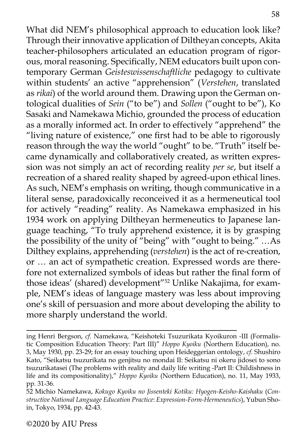What did NEM's philosophical approach to education look like? Through their innovative application of Diltheyan concepts, Akita teacher-philosophers articulated an education program of rigorous, moral reasoning. Specifically, NEM educators built upon contemporary German *Geisteswissenschaftliche* pedagogy to cultivate within students' an active "apprehension" (*Verstehen*, translated as *rikai*) of the world around them. Drawing upon the German ontological dualities of *Sein* ("to be") and *Sollen* ("ought to be"), Ko Sasaki and Namekawa Michio, grounded the process of education as a morally informed act. In order to effectively "apprehend" the "living nature of existence," one first had to be able to rigorously reason through the way the world "ought" to be. "Truth" itself became dynamically and collaboratively created, as written expression was not simply an act of recording reality *per se*, but itself a recreation of a shared reality shaped by agreed-upon ethical lines. As such, NEM's emphasis on writing, though communicative in a literal sense, paradoxically reconceived it as a hermeneutical tool for actively "reading" reality. As Namekawa emphasized in his 1934 work on applying Diltheyan hermeneutics to Japanese language teaching, "To truly apprehend existence, it is by grasping the possibility of the unity of "being" with "ought to being." …As Dilthey explains, apprehending (*verstehen*) is the act of re-creation, or … an act of sympathetic creation. Expressed words are therefore not externalized symbols of ideas but rather the final form of those ideas' (shared) development"52 Unlike Nakajima, for example, NEM's ideas of language mastery was less about improving one's skill of persuasion and more about developing the ability to more sharply understand the world.

ing Henri Bergson, *cf.* Namekawa, "Keishoteki Tsuzurikata Kyoikuron -III (Formalistic Composition Education Theory: Part III)" *Hoppo Kyoiku* (Northern Education), no. 3, May 1930, pp. 23-29; for an essay touching upon Heideggerian ontology, *cf.* Shushiro Kato, "Seikatsu tsuzurikata no genjitsu no mondai II: Seikatsu ni okeru jidosei to sono tsuzurikatasei (The problems with reality and daily life writing -Part II: Childishness in life and its compositionality)," *Hoppo Kyoiku* (Northern Education), no. 11, May 1933, pp. 31-36.

<sup>52</sup> Michio Namekawa, *Kokugo Kyoiku no Jissenteki Kotiku: Hyogen-Keisho-Kaishaku* (*Constructive National Language Education Practice*: *Expression-Form-Hermeneutics*), Yubun Shoin, Tokyo, 1934, pp. 42-43.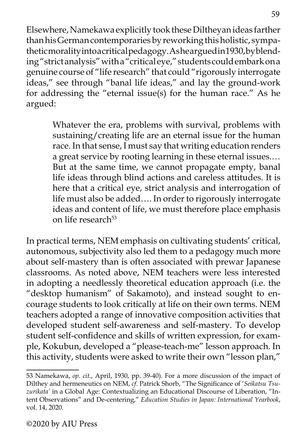Elsewhere, Namekawa explicitly took these Diltheyan ideas farther than his German contemporaries by reworking this holistic, sympathetic morality into a critical pedagogy. As hear gued in 1930, by blending "strict analysis" with a "critical eye," students could embark on a genuine course of "life research" that could "rigorously interrogate ideas," see through "banal life ideas," and lay the ground-work for addressing the "eternal issue(s) for the human race." As he argued:

> Whatever the era, problems with survival, problems with sustaining/creating life are an eternal issue for the human race. In that sense, I must say that writing education renders a great service by rooting learning in these eternal issues.… But at the same time, we cannot propagate empty, banal life ideas through blind actions and careless attitudes. It is here that a critical eye, strict analysis and interrogation of life must also be added…. In order to rigorously interrogate ideas and content of life, we must therefore place emphasis on life research<sup>53</sup>

In practical terms, NEM emphasis on cultivating students' critical, autonomous, subjectivity also led them to a pedagogy much more about self-mastery than is often associated with prewar Japanese classrooms. As noted above, NEM teachers were less interested in adopting a needlessly theoretical education approach (i.e. the "desktop humanism" of Sakamoto), and instead sought to encourage students to look critically at life on their own terms. NEM teachers adopted a range of innovative composition activities that developed student self-awareness and self-mastery. To develop student self-confidence and skills of written expression, for example, Kokubun, developed a "please-teach-me" lesson approach. In this activity, students were asked to write their own "lesson plan,"

<sup>53</sup> Namekawa, *op. cit.*, April, 1930, pp. 39-40). For a more discussion of the impact of Dilthey and hermeneutics on NEM, *cf.* Patrick Shorb, "The Significance of '*Seikatsu Tsuzurikata'* in a Global Age: Contextualizing an Educational Discourse of Liberation, "Intent Observations" and De-centering," *Education Studies in Japan: International Yearbook*, vol. 14, 2020.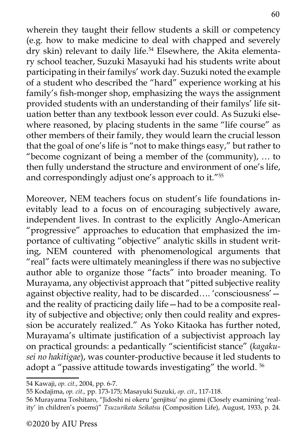wherein they taught their fellow students a skill or competency (e.g. how to make medicine to deal with chapped and severely dry skin) relevant to daily life.54 Elsewhere, the Akita elementary school teacher, Suzuki Masayuki had his students write about participating in their familys' work day. Suzuki noted the example of a student who described the "hard" experience working at his family's fish-monger shop, emphasizing the ways the assignment provided students with an understanding of their familys' life situation better than any textbook lesson ever could. As Suzuki elsewhere reasoned, by placing students in the same "life course" as other members of their family, they would learn the crucial lesson that the goal of one's life is "not to make things easy," but rather to "become cognizant of being a member of the (community), … to then fully understand the structure and environment of one's life, and correspondingly adjust one's approach to it."55

Moreover, NEM teachers focus on student's life foundations inevitably lead to a focus on of encouraging subjectively aware, independent lives. In contrast to the explicitly Anglo-American "progressive" approaches to education that emphasized the importance of cultivating "objective" analytic skills in student writing, NEM countered with phenomenological arguments that "real" facts were ultimately meaningless if there was no subjective author able to organize those "facts" into broader meaning. To Murayama, any objectivist approach that "pitted subjective reality against objective reality, had to be discarded…. 'consciousness' and the reality of practicing daily life—had to be a composite reality of subjective and objective; only then could reality and expression be accurately realized." As Yoko Kitaoka has further noted, Murayama's ultimate justification of a subjectivist approach lay on practical grounds: a pedantically "scientificist stance" (*kagakusei no hakitigae*), was counter-productive because it led students to adopt a "passive attitude towards investigating" the world. 56

<sup>54</sup> Kawaji, *op. cit.*, 2004, pp. 6-7.

<sup>55</sup> Kodajima, *op. cit.,* pp. 173-175; Masayuki Suzuki, *op. cit.*, 117-118.

<sup>56</sup> Murayama Toshitaro, "Jidoshi ni okeru 'genjitsu' no ginmi (Closely examining 'reality' in children's poems)" *Tsuzurikata Seikatsu* (Composition Life), August, 1933, p. 24.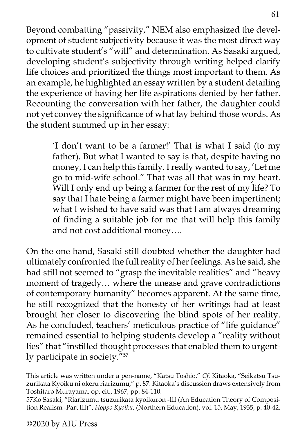Beyond combatting "passivity," NEM also emphasized the development of student subjectivity because it was the most direct way to cultivate student's "will" and determination. As Sasaki argued, developing student's subjectivity through writing helped clarify life choices and prioritized the things most important to them. As an example, he highlighted an essay written by a student detailing the experience of having her life aspirations denied by her father. Recounting the conversation with her father, the daughter could not yet convey the significance of what lay behind those words. As the student summed up in her essay:

> 'I don't want to be a farmer!' That is what I said (to my father). But what I wanted to say is that, despite having no money, I can help this family. I really wanted to say, 'Let me go to mid-wife school." That was all that was in my heart. Will I only end up being a farmer for the rest of my life? To say that I hate being a farmer might have been impertinent; what I wished to have said was that I am always dreaming of finding a suitable job for me that will help this family and not cost additional money….

On the one hand, Sasaki still doubted whether the daughter had ultimately confronted the full reality of her feelings. As he said, she had still not seemed to "grasp the inevitable realities" and "heavy moment of tragedy… where the unease and grave contradictions of contemporary humanity" becomes apparent. At the same time, he still recognized that the honesty of her writings had at least brought her closer to discovering the blind spots of her reality. As he concluded, teachers' meticulous practice of "life guidance" remained essential to helping students develop a "reality without lies" that "instilled thought processes that enabled them to urgently participate in society."57

This article was written under a pen-name, "Katsu Toshio." *Cf.* Kitaoka, "Seikatsu Tsuzurikata Kyoiku ni okeru riarizumu," p. 87. Kitaoka's discussion draws extensively from Toshitaro Murayama, op. cit., 1967, pp. 84-110.

<sup>57</sup>Ko Sasaki, "Riarizumu tsuzurikata kyoikuron -III (An Education Theory of Composition Realism -Part III)", *Hoppo Kyoiku*, (Northern Education), vol. 15, May, 1935, p. 40-42.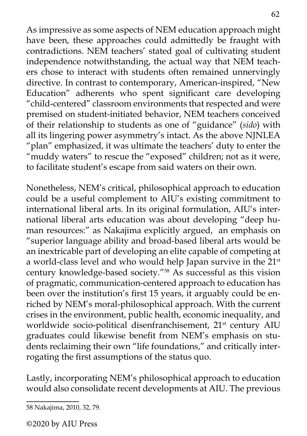As impressive as some aspects of NEM education approach might have been, these approaches could admittedly be fraught with contradictions. NEM teachers' stated goal of cultivating student independence notwithstanding, the actual way that NEM teachers chose to interact with students often remained unnervingly directive. In contrast to contemporary, American-inspired, "New Education" adherents who spent significant care developing "child-centered" classroom environments that respected and were premised on student-initiated behavior, NEM teachers conceived of their relationship to students as one of "guidance" (*sido*) with all its lingering power asymmetry's intact. As the above NJNLEA "plan" emphasized, it was ultimate the teachers' duty to enter the "muddy waters" to rescue the "exposed" children; not as it were, to facilitate student's escape from said waters on their own.

Nonetheless, NEM's critical, philosophical approach to education could be a useful complement to AIU's existing commitment to international liberal arts. In its original formulation, AIU's international liberal arts education was about developing "deep human resources:" as Nakajima explicitly argued, an emphasis on "superior language ability and broad-based liberal arts would be an inextricable part of developing an elite capable of competing at a world-class level and who would help Japan survive in the 21<sup>st</sup> century knowledge-based society."58 As successful as this vision of pragmatic, communication-centered approach to education has been over the institution's first 15 years, it arguably could be enriched by NEM's moral-philosophical approach. With the current crises in the environment, public health, economic inequality, and worldwide socio-political disenfranchisement, 21<sup>st</sup> century AIU graduates could likewise benefit from NEM's emphasis on students reclaiming their own "life foundations," and critically interrogating the first assumptions of the status quo.

Lastly, incorporating NEM's philosophical approach to education would also consolidate recent developments at AIU. The previous

<sup>58</sup> Nakajima, 2010, 32, 79.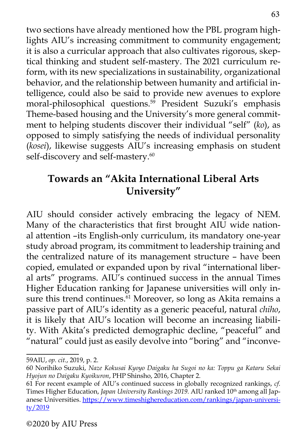two sections have already mentioned how the PBL program highlights AIU's increasing commitment to community engagement; it is also a curricular approach that also cultivates rigorous, skeptical thinking and student self-mastery. The 2021 curriculum reform, with its new specializations in sustainability, organizational behavior, and the relationship between humanity and artificial intelligence, could also be said to provide new avenues to explore moral-philosophical questions.<sup>59</sup> President Suzuki's emphasis Theme-based housing and the University's more general commitment to helping students discover their individual "self" (*ko*), as opposed to simply satisfying the needs of individual personality (*kosei*), likewise suggests AIU's increasing emphasis on student self-discovery and self-mastery.<sup>60</sup>

# **Towards an "Akita International Liberal Arts University"**

AIU should consider actively embracing the legacy of NEM. Many of the characteristics that first brought AIU wide national attention –its English-only curriculum, its mandatory one-year study abroad program, its commitment to leadership training and the centralized nature of its management structure – have been copied, emulated or expanded upon by rival "international liberal arts" programs. AIU's continued success in the annual Times Higher Education ranking for Japanese universities will only insure this trend continues.<sup>61</sup> Moreover, so long as Akita remains a passive part of AIU's identity as a generic peaceful, natural *chiho*, it is likely that AIU's location will become an increasing liability. With Akita's predicted demographic decline, "peaceful" and "natural" could just as easily devolve into "boring" and "inconve-

<sup>59</sup>AIU, *op. cit.*, 2019, p. 2.

<sup>60</sup> Norihiko Suzuki, *Naze Kokusai Kyoyo Daigaku ha Sugoi no ka: Toppu ga Kataru Sekai Hyojun no Daigaku Kyoikuron*, PHP Shinsho, 2016, Chapter 2.

<sup>61</sup> For recent example of AIU's continued success in globally recognized rankings, *cf.*  Times Higher Education, *Japan University Rankings 2019*. AIU ranked 10<sup>th</sup> among all Japanese Universities. [https://www.timeshighereducation.com/rankings/japan-universi](https://www.timeshighereducation.com/rankings/japan-university/2019)[ty/2019](https://www.timeshighereducation.com/rankings/japan-university/2019)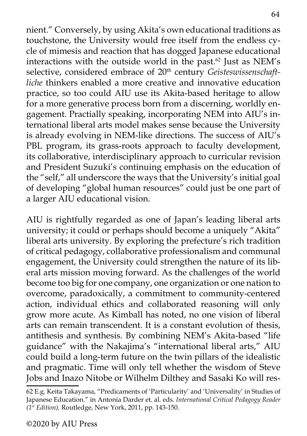nient." Conversely, by using Akita's own educational traditions as touchstone, the University would free itself from the endless cycle of mimesis and reaction that has dogged Japanese educational interactions with the outside world in the past. $62$  Just as NEM's selective, considered embrace of 20<sup>th</sup> century *Geisteswissenschaftliche* thinkers enabled a more creative and innovative education practice, so too could AIU use its Akita-based heritage to allow for a more generative process born from a discerning, worldly engagement. Practially speaking, incorporating NEM into AIU's international liberal arts model makes sense because the University is already evolving in NEM-like directions. The success of AIU's PBL program, its grass-roots approach to faculty development, its collaborative, interdisciplinary approach to curricular revision and President Suzuki's continuing emphasis on the education of the "self," all underscore the ways that the University's initial goal of developing "global human resources" could just be one part of a larger AIU educational vision.

AIU is rightfully regarded as one of Japan's leading liberal arts university; it could or perhaps should become a uniquely "Akita" liberal arts university. By exploring the prefecture's rich tradition of critical pedagogy, collaborative professionalism and communal engagement, the University could strengthen the nature of its liberal arts mission moving forward. As the challenges of the world become too big for one company, one organization or one nation to overcome, paradoxically, a commitment to community-centered action, individual ethics and collaborated reasoning will only grow more acute. As Kimball has noted, no one vision of liberal arts can remain transcendent. It is a constant evolution of thesis, antithesis and synthesis. By combining NEM's Akita-based "life guidance" with the Nakajima's "international liberal arts," AIU could build a long-term future on the twin pillars of the idealistic and pragmatic. Time will only tell whether the wisdom of Steve Jobs and Inazo Nitobe or Wilhelm Dilthey and Sasaki Ko will res-

<sup>62</sup> E.g. Keita Takayama, "Predicaments of 'Particularity' and 'Universality' in Studies of Japanese Education." in Antonia Darder et. al. eds. *International Critical Pedagogy Reader (1st Edition),* Routledge, New York, 2011, pp. 143-150.